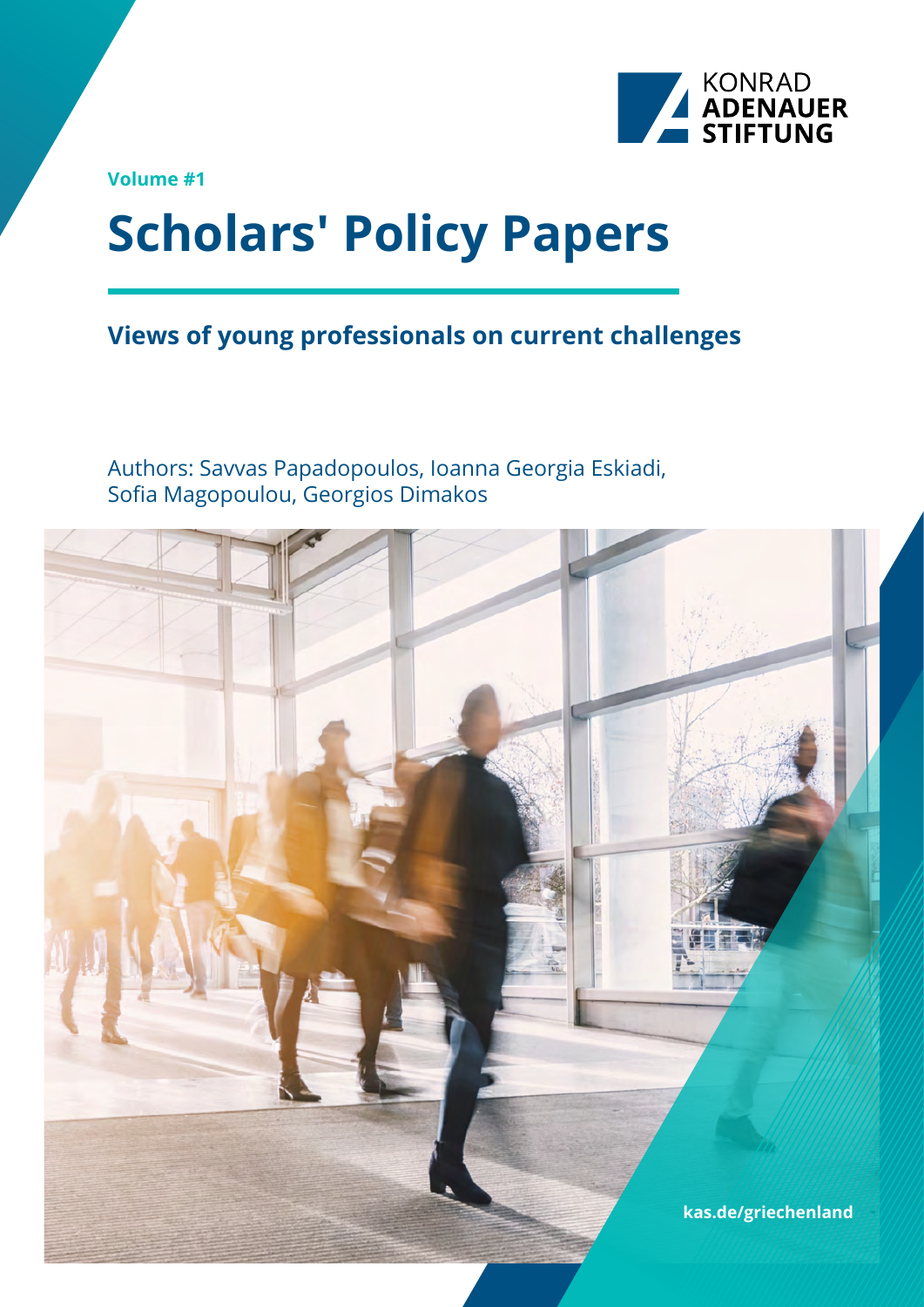

**Volume #1**

# **Scholars' Policy Papers**

### **Views of young professionals on current challenges**

Authors: Savvas Papadopoulos, Ioanna Georgia Eskiadi, Sofia Magopoulou, Georgios Dimakos

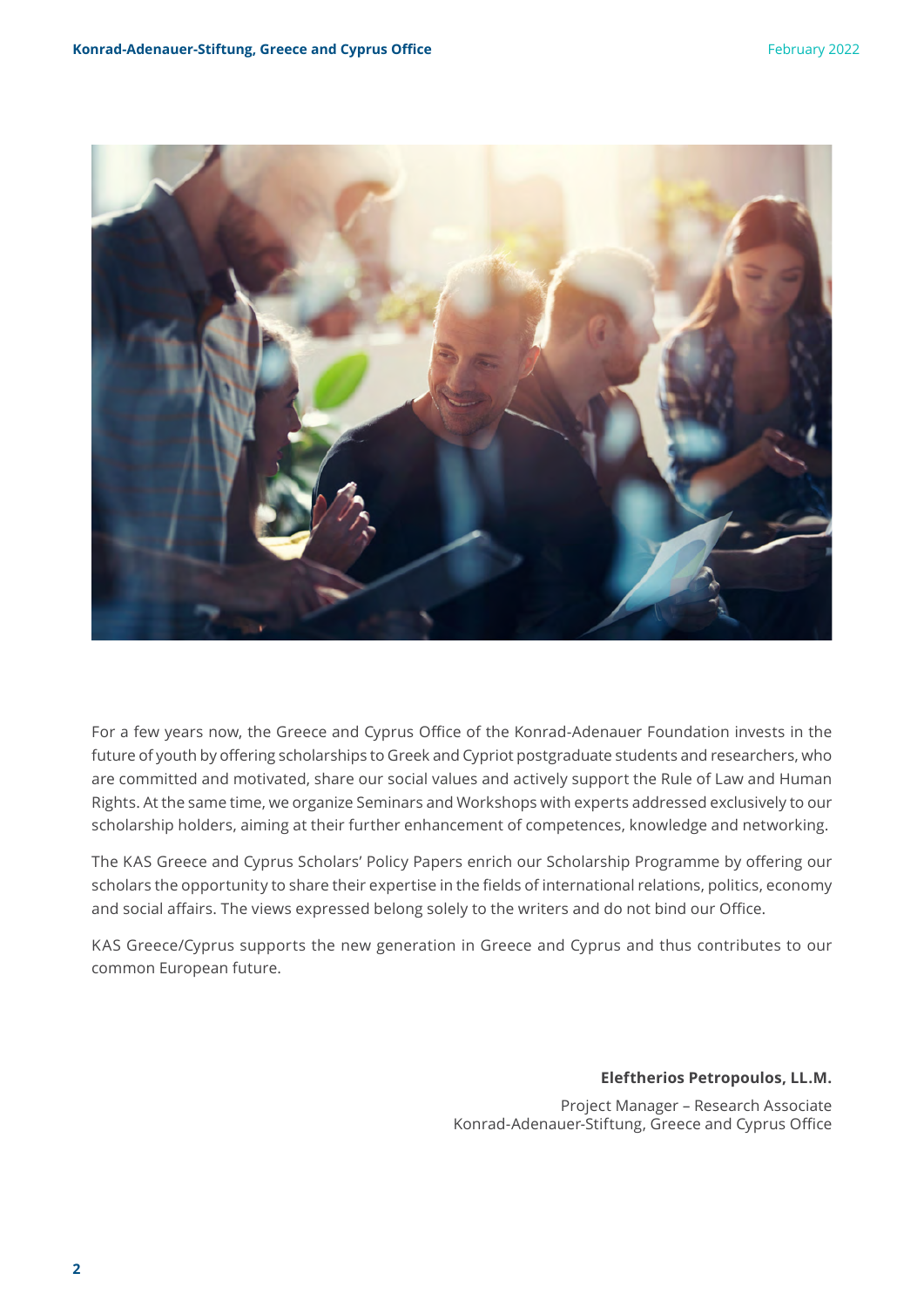

For a few years now, the Greece and Cyprus Office of the Konrad-Adenauer Foundation invests in the future of youth by offering scholarships to Greek and Cypriot postgraduate students and researchers, who are committed and motivated, share our social values and actively support the Rule of Law and Human Rights. At the same time, we organize Seminars and Workshops with experts addressed exclusively to our scholarship holders, aiming at their further enhancement of competences, knowledge and networking.

The KAS Greece and Cyprus Scholars' Policy Papers enrich our Scholarship Programme by offering our scholars the opportunity to share their expertise in the fields of international relations, politics, economy and social affairs. The views expressed belong solely to the writers and do not bind our Office.

KAS Greece/Cyprus supports the new generation in Greece and Cyprus and thus contributes to our common European future.

**Eleftherios Petropoulos, LL.M.**

Project Manager – Research Associate Konrad-Adenauer-Stiftung, Greece and Cyprus Office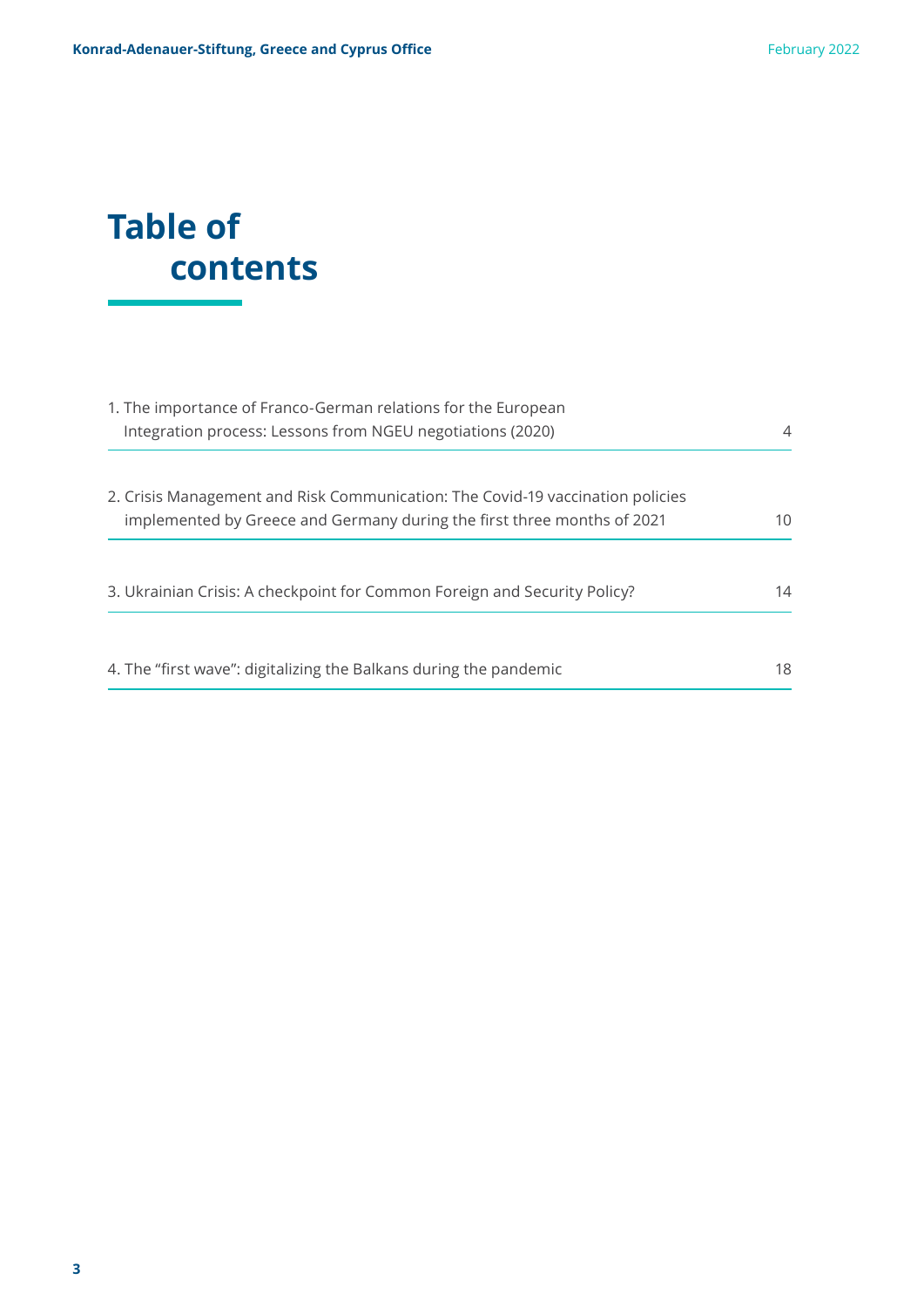# **Table of contents**

| 1. The importance of Franco-German relations for the European                  |    |
|--------------------------------------------------------------------------------|----|
| Integration process: Lessons from NGEU negotiations (2020)                     | 4  |
| 2. Crisis Management and Risk Communication: The Covid-19 vaccination policies |    |
| implemented by Greece and Germany during the first three months of 2021        | 10 |
| 3. Ukrainian Crisis: A checkpoint for Common Foreign and Security Policy?      | 14 |
| 4. The "first wave": digitalizing the Balkans during the pandemic              | 18 |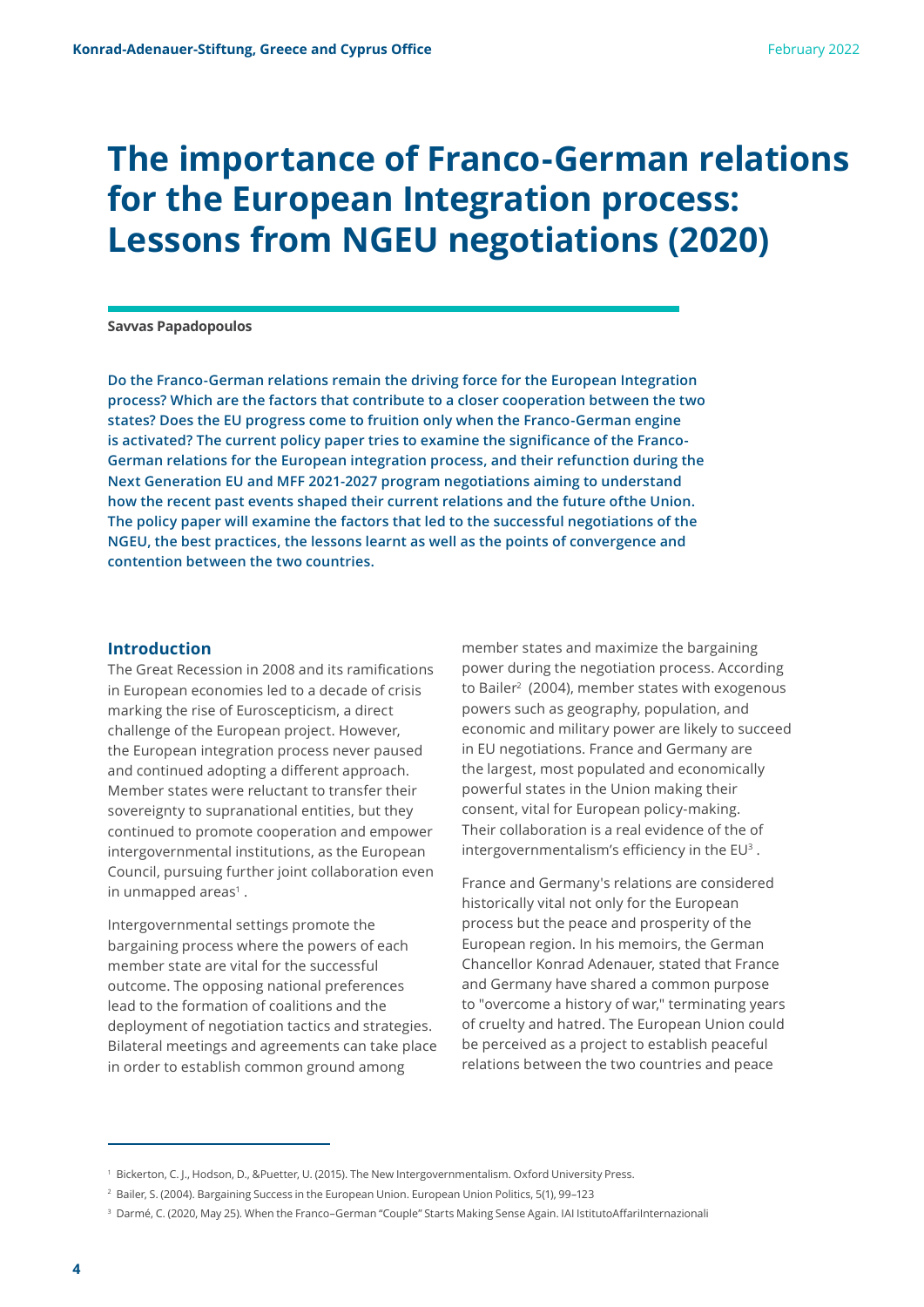### **The importance of Franco-German relations for the European Integration process: Lessons from NGEU negotiations (2020)**

#### **Savvas Papadopoulos**

**Do the Franco-German relations remain the driving force for the European Integration process? Which are the factors that contribute to a closer cooperation between the two states? Does the EU progress come to fruition only when the Franco-German engine is activated? The current policy paper tries to examine the significance of the Franco-German relations for the European integration process, and their refunction during the Next Generation EU and MFF 2021-2027 program negotiations aiming to understand how the recent past events shaped their current relations and the future ofthe Union. The policy paper will examine the factors that led to the successful negotiations of the NGEU, the best practices, the lessons learnt as well as the points of convergence and contention between the two countries.**

#### **Introduction**

The Great Recession in 2008 and its ramifications in European economies led to a decade of crisis marking the rise of Euroscepticism, a direct challenge of the European project. However, the European integration process never paused and continued adopting a different approach. Member states were reluctant to transfer their sovereignty to supranational entities, but they continued to promote cooperation and empower intergovernmental institutions, as the European Council, pursuing further joint collaboration even in unmapped areas<sup>1</sup>.

Intergovernmental settings promote the bargaining process where the powers of each member state are vital for the successful outcome. The opposing national preferences lead to the formation of coalitions and the deployment of negotiation tactics and strategies. Bilateral meetings and agreements can take place in order to establish common ground among

member states and maximize the bargaining power during the negotiation process. According to Bailer<sup>2</sup> (2004), member states with exogenous powers such as geography, population, and economic and military power are likely to succeed in EU negotiations. France and Germany are the largest, most populated and economically powerful states in the Union making their consent, vital for European policy-making. Their collaboration is a real evidence of the of intergovernmentalism's efficiency in the EU<sup>3</sup> .

France and Germany's relations are considered historically vital not only for the European process but the peace and prosperity of the European region. In his memoirs, the German Chancellor Konrad Adenauer, stated that France and Germany have shared a common purpose to "overcome a history of war," terminating years of cruelty and hatred. The European Union could be perceived as a project to establish peaceful relations between the two countries and peace

<sup>1</sup> Bickerton, C. J., Hodson, D., &Puetter, U. (2015). The New Intergovernmentalism. Oxford University Press.

<sup>2</sup> Bailer, S. (2004). Bargaining Success in the European Union. European Union Politics, 5(1), 99–123

<sup>3</sup> Darmé, C. (2020, May 25). When the Franco–German "Couple" Starts Making Sense Again. IAI IstitutoAffariInternazionali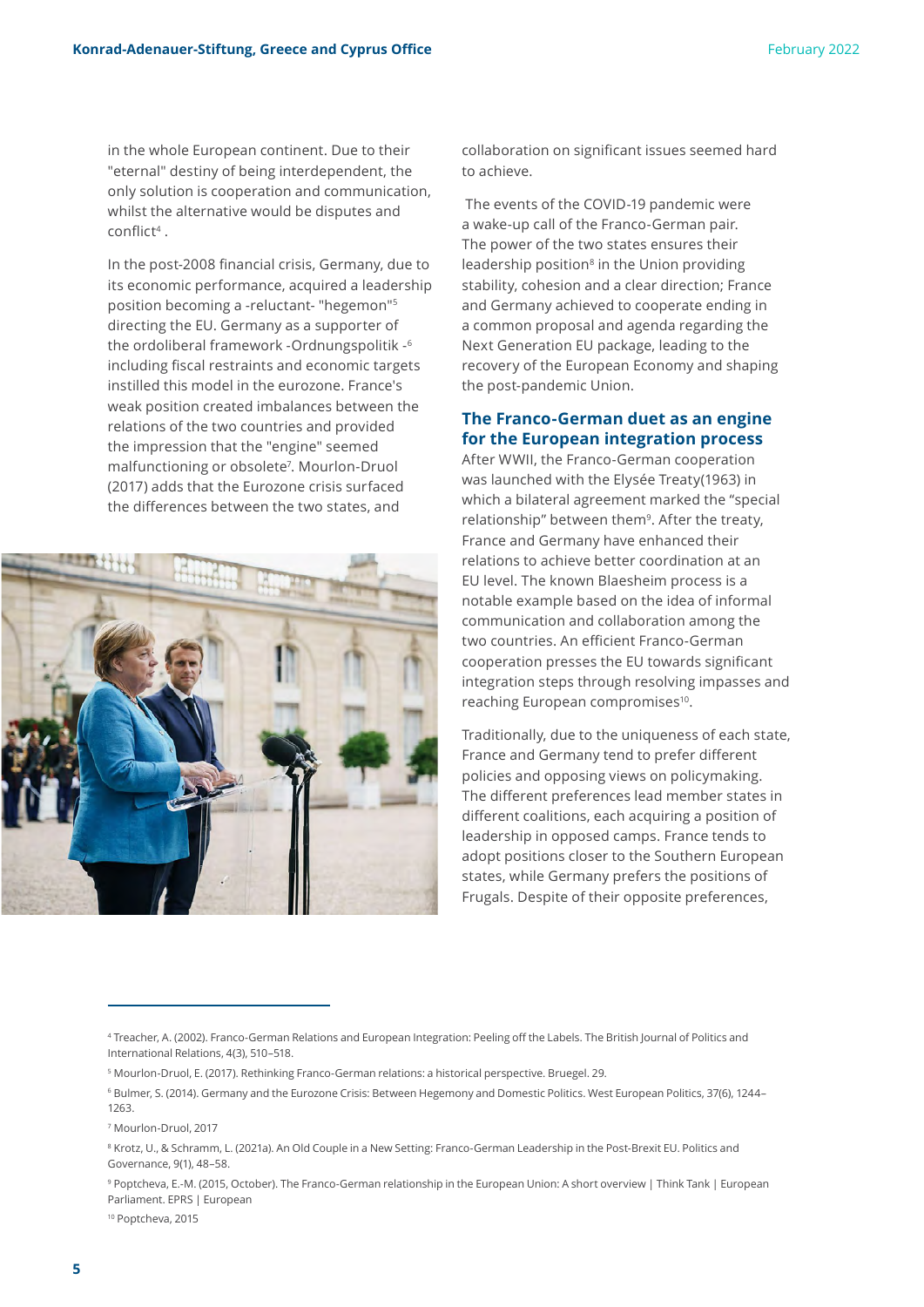in the whole European continent. Due to their "eternal" destiny of being interdependent, the only solution is cooperation and communication, whilst the alternative would be disputes and conflict<sup>4</sup> .

In the post-2008 financial crisis, Germany, due to its economic performance, acquired a leadership position becoming a -reluctant- "hegemon"5 directing the EU. Germany as a supporter of the ordoliberal framework -Ordnungspolitik -<sup>6</sup> including fiscal restraints and economic targets instilled this model in the eurozone. France's weak position created imbalances between the relations of the two countries and provided the impression that the "engine" seemed malfunctioning or obsolete<sup>7</sup>. Mourlon-Druol (2017) adds that the Eurozone crisis surfaced the differences between the two states, and



collaboration on significant issues seemed hard to achieve.

 The events of the COVID-19 pandemic were a wake-up call of the Franco-German pair. The power of the two states ensures their leadership position<sup>8</sup> in the Union providing stability, cohesion and a clear direction; France and Germany achieved to cooperate ending in a common proposal and agenda regarding the Next Generation EU package, leading to the recovery of the European Economy and shaping the post-pandemic Union.

#### **The Franco-German duet as an engine for the European integration process**

After WWII, the Franco-German cooperation was launched with the Elysée Treaty(1963) in which a bilateral agreement marked the "special relationship" between them<sup>9</sup>. After the treaty, France and Germany have enhanced their relations to achieve better coordination at an EU level. The known Blaesheim process is a notable example based on the idea of informal communication and collaboration among the two countries. An efficient Franco-German cooperation presses the EU towards significant integration steps through resolving impasses and reaching European compromises<sup>10</sup>.

Traditionally, due to the uniqueness of each state, France and Germany tend to prefer different policies and opposing views on policymaking. The different preferences lead member states in different coalitions, each acquiring a position of leadership in opposed camps. France tends to adopt positions closer to the Southern European states, while Germany prefers the positions of Frugals. Despite of their opposite preferences,

<sup>10</sup> Poptcheva, 2015

<sup>4</sup> Treacher, A. (2002). Franco-German Relations and European Integration: Peeling off the Labels. The British Journal of Politics and International Relations, 4(3), 510–518.

<sup>5</sup> Mourlon-Druol, E. (2017). Rethinking Franco-German relations: a historical perspective. Bruegel. 29.

<sup>6</sup> Bulmer, S. (2014). Germany and the Eurozone Crisis: Between Hegemony and Domestic Politics. West European Politics, 37(6), 1244– 1263.

<sup>7</sup> Mourlon-Druol, 2017

<sup>8</sup> Krotz, U., & Schramm, L. (2021a). An Old Couple in a New Setting: Franco-German Leadership in the Post-Brexit EU. Politics and Governance, 9(1), 48–58.

<sup>9</sup> Poptcheva, E.-M. (2015, October). The Franco-German relationship in the European Union: A short overview | Think Tank | European Parliament. EPRS | European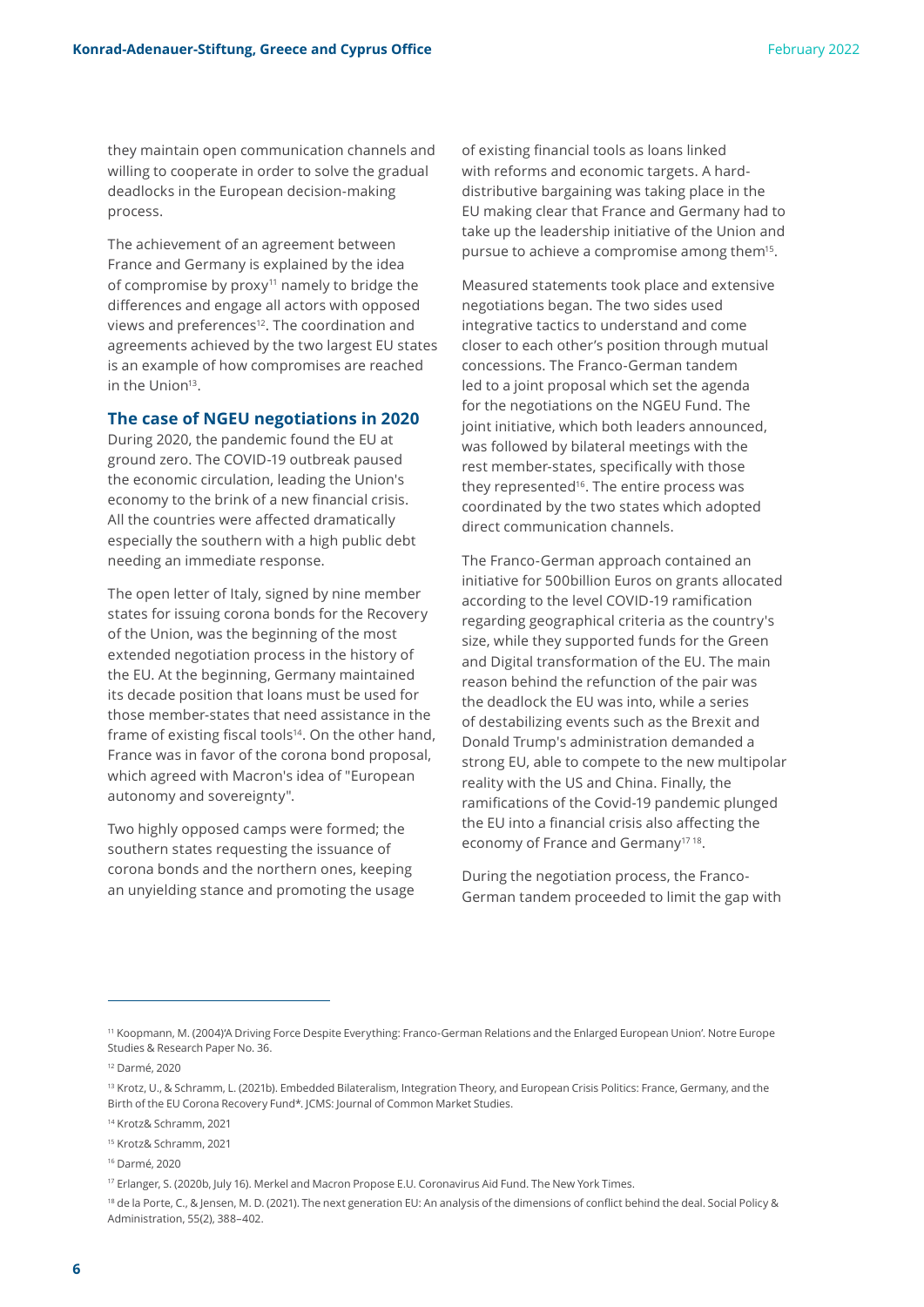they maintain open communication channels and willing to cooperate in order to solve the gradual deadlocks in the European decision-making process.

The achievement of an agreement between France and Germany is explained by the idea of compromise by proxy<sup>11</sup> namely to bridge the differences and engage all actors with opposed views and preferences<sup>12</sup>. The coordination and agreements achieved by the two largest EU states is an example of how compromises are reached in the Union<sup>13</sup>.

#### **The case of NGEU negotiations in 2020**

During 2020, the pandemic found the EU at ground zero. The COVID-19 outbreak paused the economic circulation, leading the Union's economy to the brink of a new financial crisis. All the countries were affected dramatically especially the southern with a high public debt needing an immediate response.

The open letter of Italy, signed by nine member states for issuing corona bonds for the Recovery of the Union, was the beginning of the most extended negotiation process in the history of the EU. At the beginning, Germany maintained its decade position that loans must be used for those member-states that need assistance in the frame of existing fiscal tools<sup>14</sup>. On the other hand, France was in favor of the corona bond proposal, which agreed with Macron's idea of "European autonomy and sovereignty".

Two highly opposed camps were formed; the southern states requesting the issuance of corona bonds and the northern ones, keeping an unyielding stance and promoting the usage of existing financial tools as loans linked with reforms and economic targets. A harddistributive bargaining was taking place in the EU making clear that France and Germany had to take up the leadership initiative of the Union and pursue to achieve a compromise among them<sup>15</sup>.

Measured statements took place and extensive negotiations began. The two sides used integrative tactics to understand and come closer to each other's position through mutual concessions. The Franco-German tandem led to a joint proposal which set the agenda for the negotiations on the NGEU Fund. The joint initiative, which both leaders announced, was followed by bilateral meetings with the rest member-states, specifically with those they represented<sup>16</sup>. The entire process was coordinated by the two states which adopted direct communication channels.

The Franco-German approach contained an initiative for 500billion Euros on grants allocated according to the level COVID-19 ramification regarding geographical criteria as the country's size, while they supported funds for the Green and Digital transformation of the EU. The main reason behind the refunction of the pair was the deadlock the EU was into, while a series of destabilizing events such as the Brexit and Donald Trump's administration demanded a strong EU, able to compete to the new multipolar reality with the US and China. Finally, the ramifications of the Covid-19 pandemic plunged the EU into a financial crisis also affecting the economy of France and Germany17 18.

During the negotiation process, the Franco-German tandem proceeded to limit the gap with

<sup>11</sup> Koopmann, M. (2004)'A Driving Force Despite Everything: Franco-German Relations and the Enlarged European Union'. Notre Europe Studies & Research Paper No. 36.

<sup>12</sup> Darmé, 2020

<sup>13</sup> Krotz, U., & Schramm, L. (2021b). Embedded Bilateralism, Integration Theory, and European Crisis Politics: France, Germany, and the Birth of the EU Corona Recovery Fund\*. JCMS: Journal of Common Market Studies.

<sup>14</sup> Krotz& Schramm, 2021

<sup>15</sup> Krotz& Schramm, 2021

<sup>16</sup> Darmé, 2020

<sup>17</sup> Erlanger, S. (2020b, July 16). Merkel and Macron Propose E.U. Coronavirus Aid Fund. The New York Times.

<sup>18</sup> de la Porte, C., & Jensen, M. D. (2021). The next generation EU: An analysis of the dimensions of conflict behind the deal. Social Policy & Administration, 55(2), 388–402.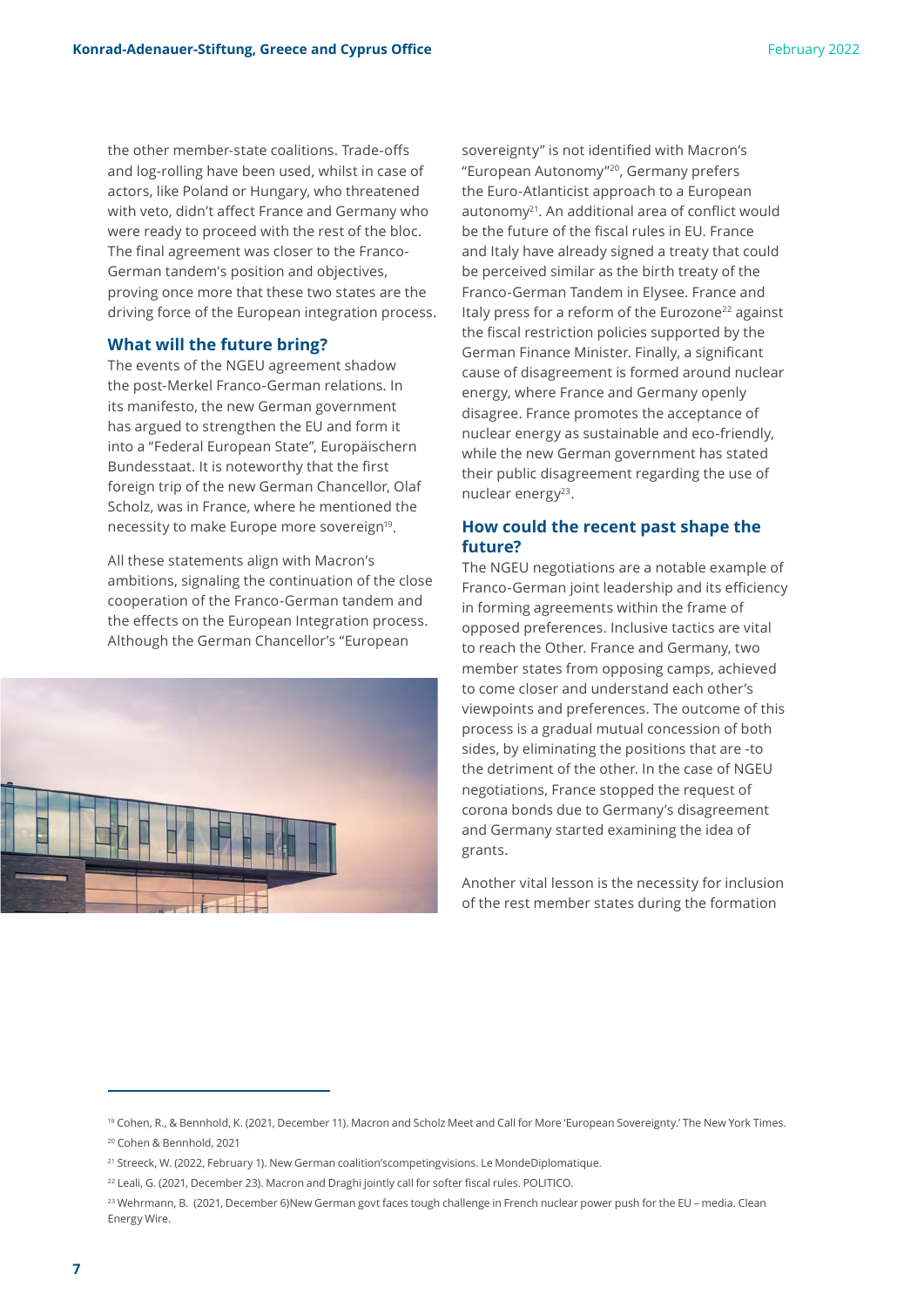the other member-state coalitions. Trade-offs and log-rolling have been used, whilst in case of actors, like Poland or Hungary, who threatened with veto, didn't affect France and Germany who were ready to proceed with the rest of the bloc. The final agreement was closer to the Franco-German tandem's position and objectives, proving once more that these two states are the driving force of the European integration process.

#### **What will the future bring?**

The events of the NGEU agreement shadow the post-Merkel Franco-German relations. In its manifesto, the new German government has argued to strengthen the EU and form it into a "Federal European State", Europäischern Bundesstaat. It is noteworthy that the first foreign trip of the new German Chancellor, Olaf Scholz, was in France, where he mentioned the necessity to make Europe more sovereign<sup>19</sup>.

All these statements align with Macron's ambitions, signaling the continuation of the close cooperation of the Franco-German tandem and the effects on the European Integration process. Although the German Chancellor's "European



sovereignty" is not identified with Macron's "European Autonomy"<sup>20</sup>, Germany prefers the Euro-Atlanticist approach to a European autonomy<sup>21</sup>. An additional area of conflict would be the future of the fiscal rules in EU. France and Italy have already signed a treaty that could be perceived similar as the birth treaty of the Franco-German Tandem in Elysee. France and Italy press for a reform of the Eurozone<sup>22</sup> against the fiscal restriction policies supported by the German Finance Minister. Finally, a significant cause of disagreement is formed around nuclear energy, where France and Germany openly disagree. France promotes the acceptance of nuclear energy as sustainable and eco-friendly, while the new German government has stated their public disagreement regarding the use of nuclear energy<sup>23</sup>.

#### **How could the recent past shape the future?**

The NGEU negotiations are a notable example of Franco-German joint leadership and its efficiency in forming agreements within the frame of opposed preferences. Inclusive tactics are vital to reach the Other. France and Germany, two member states from opposing camps, achieved to come closer and understand each other's viewpoints and preferences. The outcome of this process is a gradual mutual concession of both sides, by eliminating the positions that are -to the detriment of the other. In the case of NGEU negotiations, France stopped the request of corona bonds due to Germany's disagreement and Germany started examining the idea of grants.

Another vital lesson is the necessity for inclusion of the rest member states during the formation

<sup>&</sup>lt;sup>19</sup> Cohen, R., & Bennhold, K. (2021, December 11). Macron and Scholz Meet and Call for More 'European Sovereignty.' The New York Times. <sup>20</sup> Cohen & Bennhold, 2021

<sup>&</sup>lt;sup>21</sup> Streeck, W. (2022, February 1). New German coalition'scompetingvisions. Le MondeDiplomatique.

<sup>&</sup>lt;sup>22</sup> Leali, G. (2021, December 23). Macron and Draghi jointly call for softer fiscal rules. POLITICO.

<sup>23</sup> Wehrmann, B. (2021, December 6)New German govt faces tough challenge in French nuclear power push for the EU – media. Clean Energy Wire.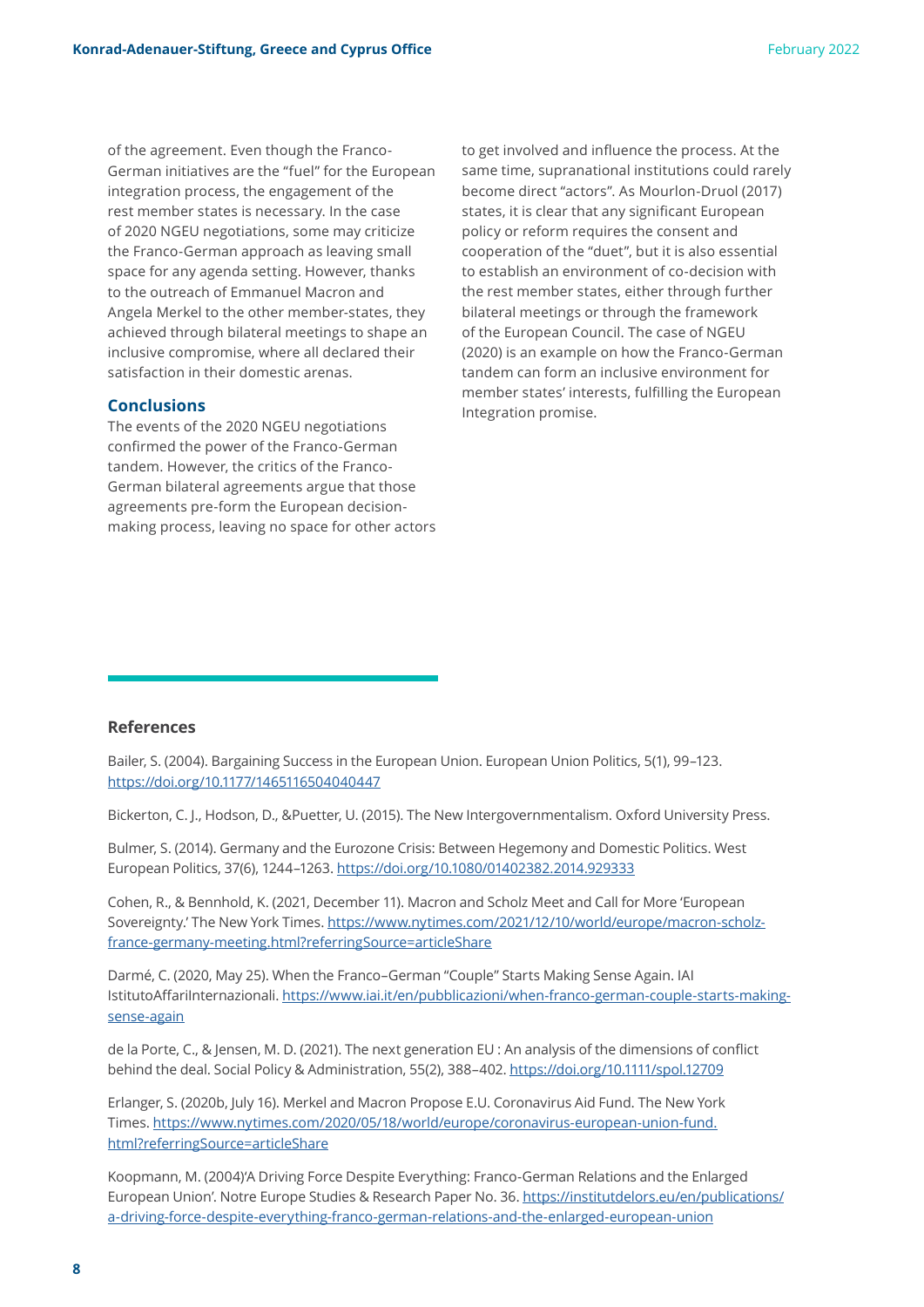of the agreement. Even though the Franco-German initiatives are the "fuel" for the European integration process, the engagement of the rest member states is necessary. In the case of 2020 NGEU negotiations, some may criticize the Franco-German approach as leaving small space for any agenda setting. However, thanks to the outreach of Emmanuel Macron and Angela Merkel to the other member-states, they achieved through bilateral meetings to shape an inclusive compromise, where all declared their satisfaction in their domestic arenas.

#### **Conclusions**

The events of the 2020 NGEU negotiations confirmed the power of the Franco-German tandem. However, the critics of the Franco-German bilateral agreements argue that those agreements pre-form the European decisionmaking process, leaving no space for other actors

to get involved and influence the process. At the same time, supranational institutions could rarely become direct "actors". As Mourlon-Druol (2017) states, it is clear that any significant European policy or reform requires the consent and cooperation of the "duet", but it is also essential to establish an environment of co-decision with the rest member states, either through further bilateral meetings or through the framework of the European Council. The case of NGEU (2020) is an example on how the Franco-German tandem can form an inclusive environment for member states' interests, fulfilling the European Integration promise.

#### **References**

Bailer, S. (2004). Bargaining Success in the European Union. European Union Politics, 5(1), 99–123. <https://doi.org/10.1177/1465116504040447>

Bickerton, C. J., Hodson, D., &Puetter, U. (2015). The New Intergovernmentalism. Oxford University Press.

Bulmer, S. (2014). Germany and the Eurozone Crisis: Between Hegemony and Domestic Politics. West European Politics, 37(6), 1244–1263.<https://doi.org/10.1080/01402382.2014.929333>

Cohen, R., & Bennhold, K. (2021, December 11). Macron and Scholz Meet and Call for More 'European Sovereignty.' The New York Times. [https://www.nytimes.com/2021/12/10/world/europe/macron-scholz](https://www.nytimes.com/2021/12/10/world/europe/macron-scholz-france-germany-meeting.html?referringSource=articleShare)[france-germany-meeting.html?referringSource=articleShare](https://www.nytimes.com/2021/12/10/world/europe/macron-scholz-france-germany-meeting.html?referringSource=articleShare)

Darmé, C. (2020, May 25). When the Franco–German "Couple" Starts Making Sense Again. IAI IstitutoAffariInternazionali. [https://www.iai.it/en/pubblicazioni/when-franco-german-couple-starts-making](https://www.iai.it/en/pubblicazioni/when-franco-german-couple-starts-making-sense-again)[sense-again](https://www.iai.it/en/pubblicazioni/when-franco-german-couple-starts-making-sense-again)

de la Porte, C., & Jensen, M. D. (2021). The next generation EU : An analysis of the dimensions of conflict behind the deal. Social Policy & Administration, 55(2), 388–402. <https://doi.org/10.1111/spol.12709>

Erlanger, S. (2020b, July 16). Merkel and Macron Propose E.U. Coronavirus Aid Fund. The New York Times. [https://www.nytimes.com/2020/05/18/world/europe/coronavirus-european-union-fund.](https://www.nytimes.com/2020/05/18/world/europe/coronavirus-european-union-fund.html?referringSource=articleShare) [html?referringSource=articleShare](https://www.nytimes.com/2020/05/18/world/europe/coronavirus-european-union-fund.html?referringSource=articleShare)

Koopmann, M. (2004)'A Driving Force Despite Everything: Franco-German Relations and the Enlarged European Union'. Notre Europe Studies & Research Paper No. 36. [https://institutdelors.eu/en/publications/](https://institutdelors.eu/en/publications/a-driving-force-despite-everything-franco-german-relations-and-the-enlarged-european-union) [a-driving-force-despite-everything-franco-german-relations-and-the-enlarged-european-union](https://institutdelors.eu/en/publications/a-driving-force-despite-everything-franco-german-relations-and-the-enlarged-european-union)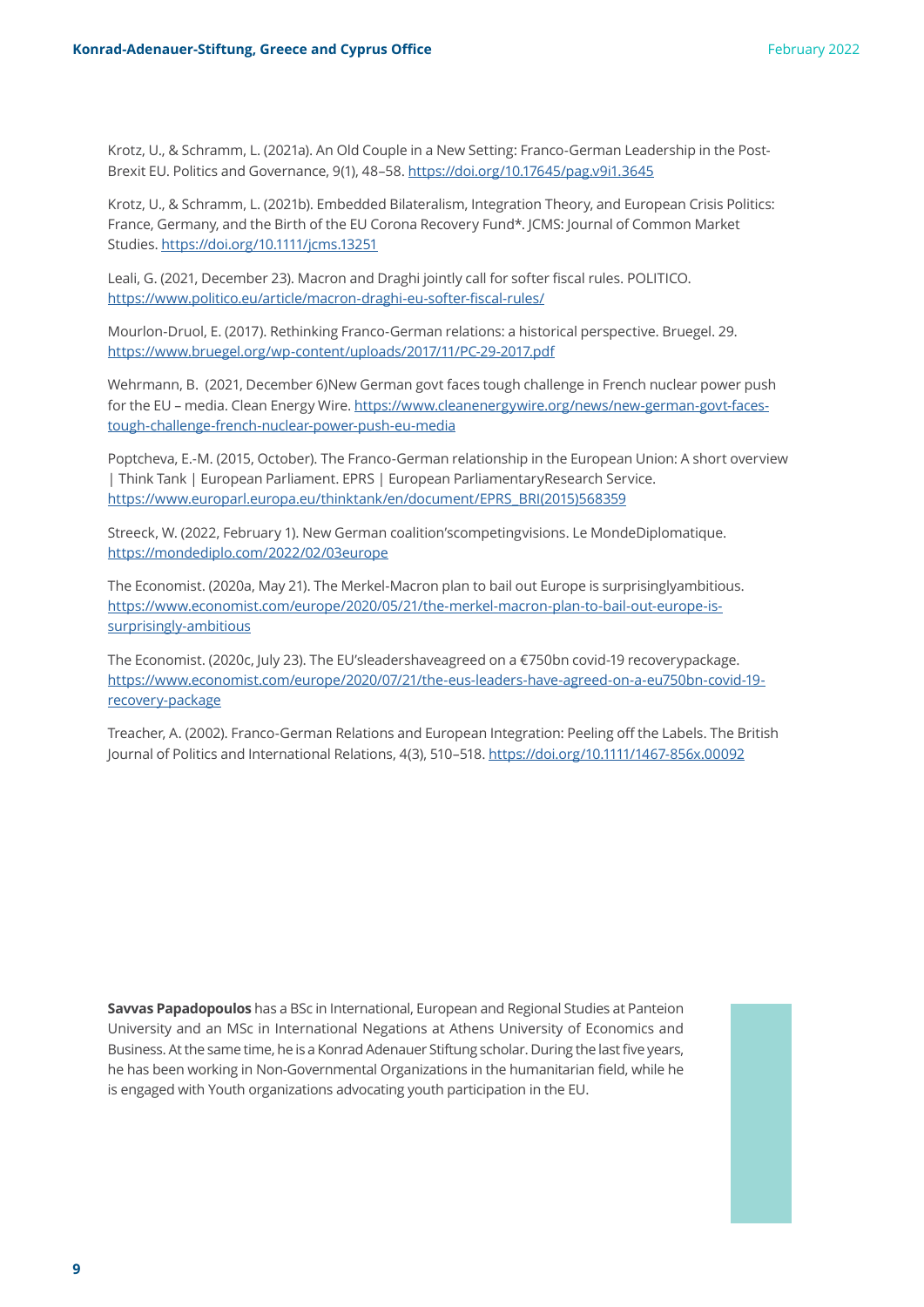Krotz, U., & Schramm, L. (2021a). An Old Couple in a New Setting: Franco-German Leadership in the Post-Brexit EU. Politics and Governance, 9(1), 48–58.<https://doi.org/10.17645/pag.v9i1.3645>

Krotz, U., & Schramm, L. (2021b). Embedded Bilateralism, Integration Theory, and European Crisis Politics: France, Germany, and the Birth of the EU Corona Recovery Fund\*. JCMS: Journal of Common Market Studies.<https://doi.org/10.1111/jcms.13251>

Leali, G. (2021, December 23). Macron and Draghi jointly call for softer fiscal rules. POLITICO. <https://www.politico.eu/article/macron-draghi-eu-softer-fiscal-rules/>

Mourlon-Druol, E. (2017). Rethinking Franco-German relations: a historical perspective. Bruegel. 29. <https://www.bruegel.org/wp-content/uploads/2017/11/PC-29-2017.pdf>

Wehrmann, B. (2021, December 6)New German govt faces tough challenge in French nuclear power push for the EU – media. Clean Energy Wire. [https://www.cleanenergywire.org/news/new-german-govt-faces](https://www.cleanenergywire.org/news/new-german-govt-faces-tough-challenge-french-nuclear-power-push-eu-media)[tough-challenge-french-nuclear-power-push-eu-media](https://www.cleanenergywire.org/news/new-german-govt-faces-tough-challenge-french-nuclear-power-push-eu-media)

Poptcheva, E.-M. (2015, October). The Franco-German relationship in the European Union: A short overview | Think Tank | European Parliament. EPRS | European ParliamentaryResearch Service. [https://www.europarl.europa.eu/thinktank/en/document/EPRS\\_BRI\(2015\)568359](https://www.europarl.europa.eu/thinktank/en/document/EPRS_BRI(2015)568359)

Streeck, W. (2022, February 1). New German coalition'scompetingvisions. Le MondeDiplomatique. <https://mondediplo.com/2022/02/03europe>

The Economist. (2020a, May 21). The Merkel-Macron plan to bail out Europe is surprisinglyambitious. [https://www.economist.com/europe/2020/05/21/the-merkel-macron-plan-to-bail-out-europe-is](https://www.economist.com/europe/2020/05/21/the-merkel-macron-plan-to-bail-out-europe-is-surprisingly-ambitious)[surprisingly-ambitious](https://www.economist.com/europe/2020/05/21/the-merkel-macron-plan-to-bail-out-europe-is-surprisingly-ambitious)

The Economist. (2020c, July 23). The EU'sleadershaveagreed on a €750bn covid-19 recoverypackage. [https://www.economist.com/europe/2020/07/21/the-eus-leaders-have-agreed-on-a-eu750bn-covid-19](https://www.economist.com/europe/2020/07/21/the-eus-leaders-have-agreed-on-a-eu750bn-covid-19-recovery-package) [recovery-package](https://www.economist.com/europe/2020/07/21/the-eus-leaders-have-agreed-on-a-eu750bn-covid-19-recovery-package)

Treacher, A. (2002). Franco-German Relations and European Integration: Peeling off the Labels. The British Journal of Politics and International Relations, 4(3), 510–518.<https://doi.org/10.1111/1467-856x.00092>

**Savvas Papadopoulos** has a BSc in International, European and Regional Studies at Panteion University and an MSc in International Negations at Athens University of Economics and Business. At the same time, he is a Konrad Adenauer Stiftung scholar. During the last five years, he has been working in Non-Governmental Organizations in the humanitarian field, while he is engaged with Youth organizations advocating youth participation in the EU.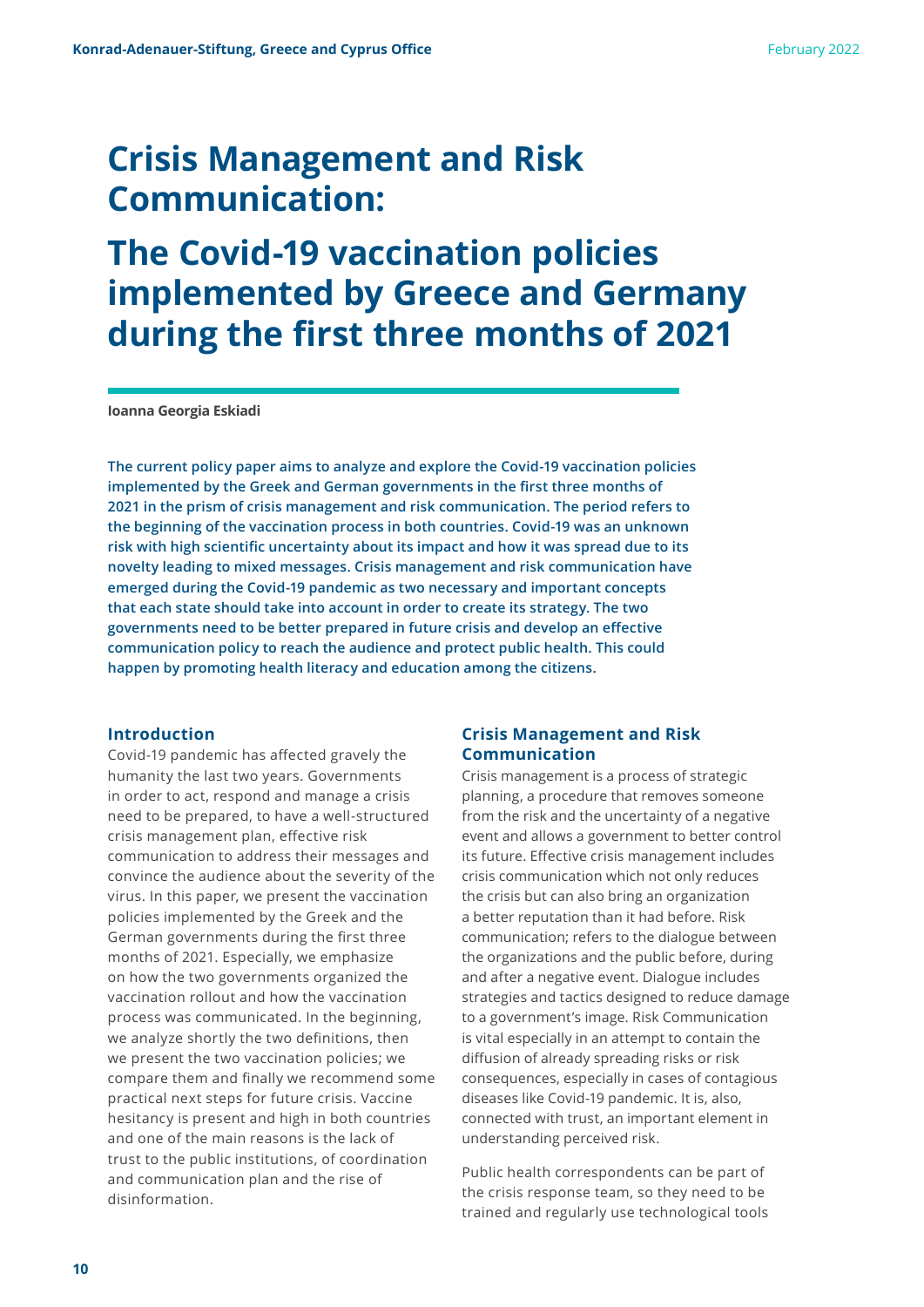## **Crisis Management and Risk Communication:**

### **The Covid-19 vaccination policies implemented by Greece and Germany during the first three months of 2021**

**Ioanna Georgia Eskiadi**

**The current policy paper aims to analyze and explore the Covid-19 vaccination policies implemented by the Greek and German governments in the first three months of 2021 in the prism of crisis management and risk communication. The period refers to the beginning of the vaccination process in both countries. Covid-19 was an unknown risk with high scientific uncertainty about its impact and how it was spread due to its novelty leading to mixed messages. Crisis management and risk communication have emerged during the Covid-19 pandemic as two necessary and important concepts that each state should take into account in order to create its strategy. The two governments need to be better prepared in future crisis and develop an effective communication policy to reach the audience and protect public health. This could happen by promoting health literacy and education among the citizens.**

#### **Introduction**

Covid-19 pandemic has affected gravely the humanity the last two years. Governments in order to act, respond and manage a crisis need to be prepared, to have a well-structured crisis management plan, effective risk communication to address their messages and convince the audience about the severity of the virus. In this paper, we present the vaccination policies implemented by the Greek and the German governments during the first three months of 2021. Especially, we emphasize on how the two governments organized the vaccination rollout and how the vaccination process was communicated. In the beginning, we analyze shortly the two definitions, then we present the two vaccination policies; we compare them and finally we recommend some practical next steps for future crisis. Vaccine hesitancy is present and high in both countries and one of the main reasons is the lack of trust to the public institutions, of coordination and communication plan and the rise of disinformation.

#### **Crisis Management and Risk Communication**

Crisis management is a process of strategic planning, a procedure that removes someone from the risk and the uncertainty of a negative event and allows a government to better control its future. Effective crisis management includes crisis communication which not only reduces the crisis but can also bring an organization a better reputation than it had before. Risk communication; refers to the dialogue between the organizations and the public before, during and after a negative event. Dialogue includes strategies and tactics designed to reduce damage to a government's image. Risk Communication is vital especially in an attempt to contain the diffusion of already spreading risks or risk consequences, especially in cases of contagious diseases like Covid-19 pandemic. It is, also, connected with trust, an important element in understanding perceived risk.

Public health correspondents can be part of the crisis response team, so they need to be trained and regularly use technological tools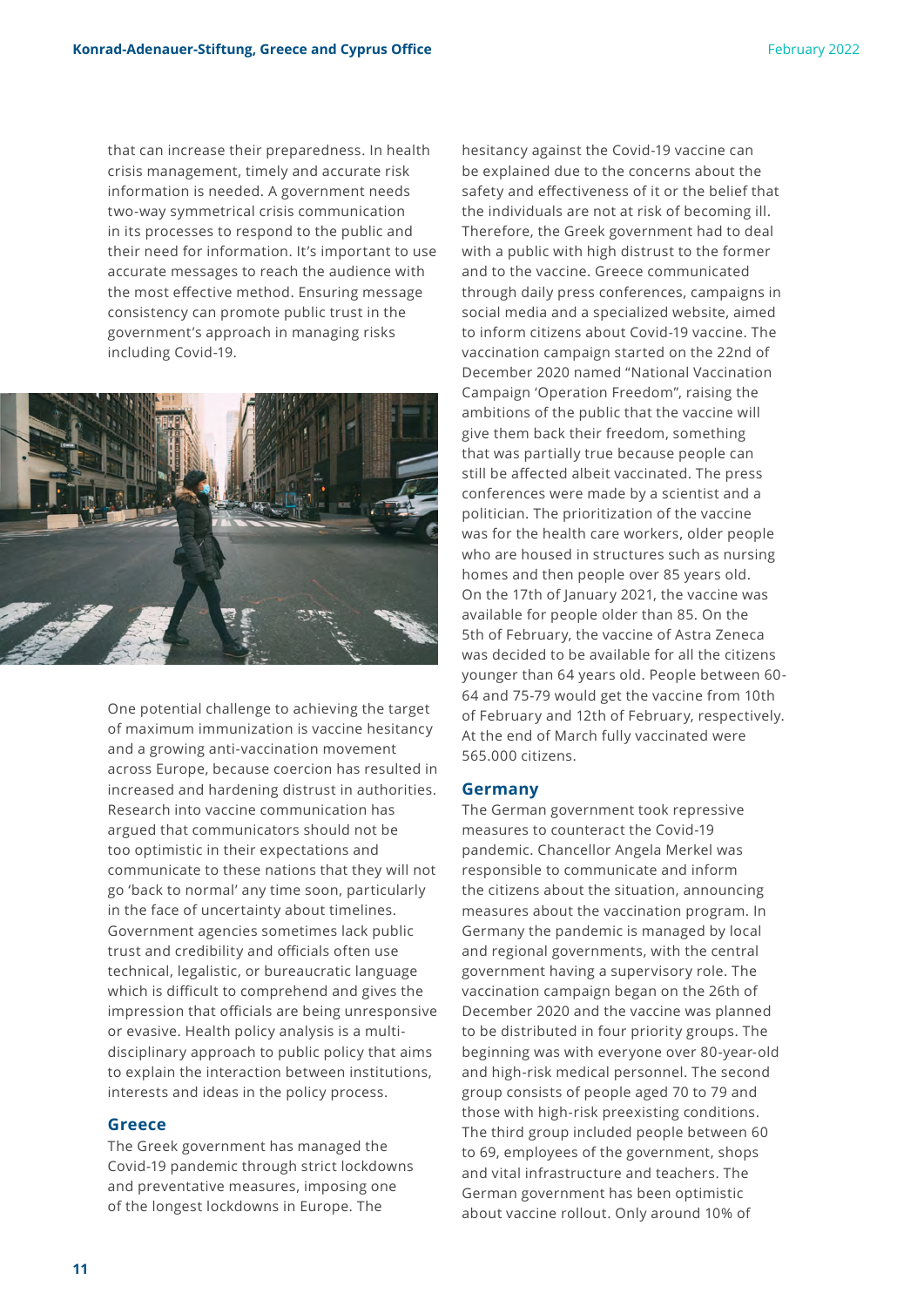that can increase their preparedness. In health crisis management, timely and accurate risk information is needed. A government needs two-way symmetrical crisis communication in its processes to respond to the public and their need for information. It's important to use accurate messages to reach the audience with the most effective method. Ensuring message consistency can promote public trust in the government's approach in managing risks including Covid-19.



One potential challenge to achieving the target of maximum immunization is vaccine hesitancy and a growing anti-vaccination movement across Europe, because coercion has resulted in increased and hardening distrust in authorities. Research into vaccine communication has argued that communicators should not be too optimistic in their expectations and communicate to these nations that they will not go 'back to normal' any time soon, particularly in the face of uncertainty about timelines. Government agencies sometimes lack public trust and credibility and officials often use technical, legalistic, or bureaucratic language which is difficult to comprehend and gives the impression that officials are being unresponsive or evasive. Health policy analysis is a multidisciplinary approach to public policy that aims to explain the interaction between institutions, interests and ideas in the policy process.

#### **Greece**

The Greek government has managed the Covid-19 pandemic through strict lockdowns and preventative measures, imposing one of the longest lockdowns in Europe. The

hesitancy against the Covid-19 vaccine can be explained due to the concerns about the safety and effectiveness of it or the belief that the individuals are not at risk of becoming ill. Therefore, the Greek government had to deal with a public with high distrust to the former and to the vaccine. Greece communicated through daily press conferences, campaigns in social media and a specialized website, aimed to inform citizens about Covid-19 vaccine. The vaccination campaign started on the 22nd of December 2020 named "National Vaccination Campaign 'Operation Freedom", raising the ambitions of the public that the vaccine will give them back their freedom, something that was partially true because people can still be affected albeit vaccinated. The press conferences were made by a scientist and a politician. The prioritization of the vaccine was for the health care workers, older people who are housed in structures such as nursing homes and then people over 85 years old. On the 17th of January 2021, the vaccine was available for people older than 85. On the 5th of February, the vaccine of Astra Zeneca was decided to be available for all the citizens younger than 64 years old. People between 60- 64 and 75-79 would get the vaccine from 10th of February and 12th of February, respectively. At the end of March fully vaccinated were 565.000 citizens.

#### **Germany**

The German government took repressive measures to counteract the Covid-19 pandemic. Chancellor Angela Merkel was responsible to communicate and inform the citizens about the situation, announcing measures about the vaccination program. In Germany the pandemic is managed by local and regional governments, with the central government having a supervisory role. The vaccination campaign began on the 26th of December 2020 and the vaccine was planned to be distributed in four priority groups. The beginning was with everyone over 80-year-old and high-risk medical personnel. The second group consists of people aged 70 to 79 and those with high-risk preexisting conditions. The third group included people between 60 to 69, employees of the government, shops and vital infrastructure and teachers. The German government has been optimistic about vaccine rollout. Only around 10% of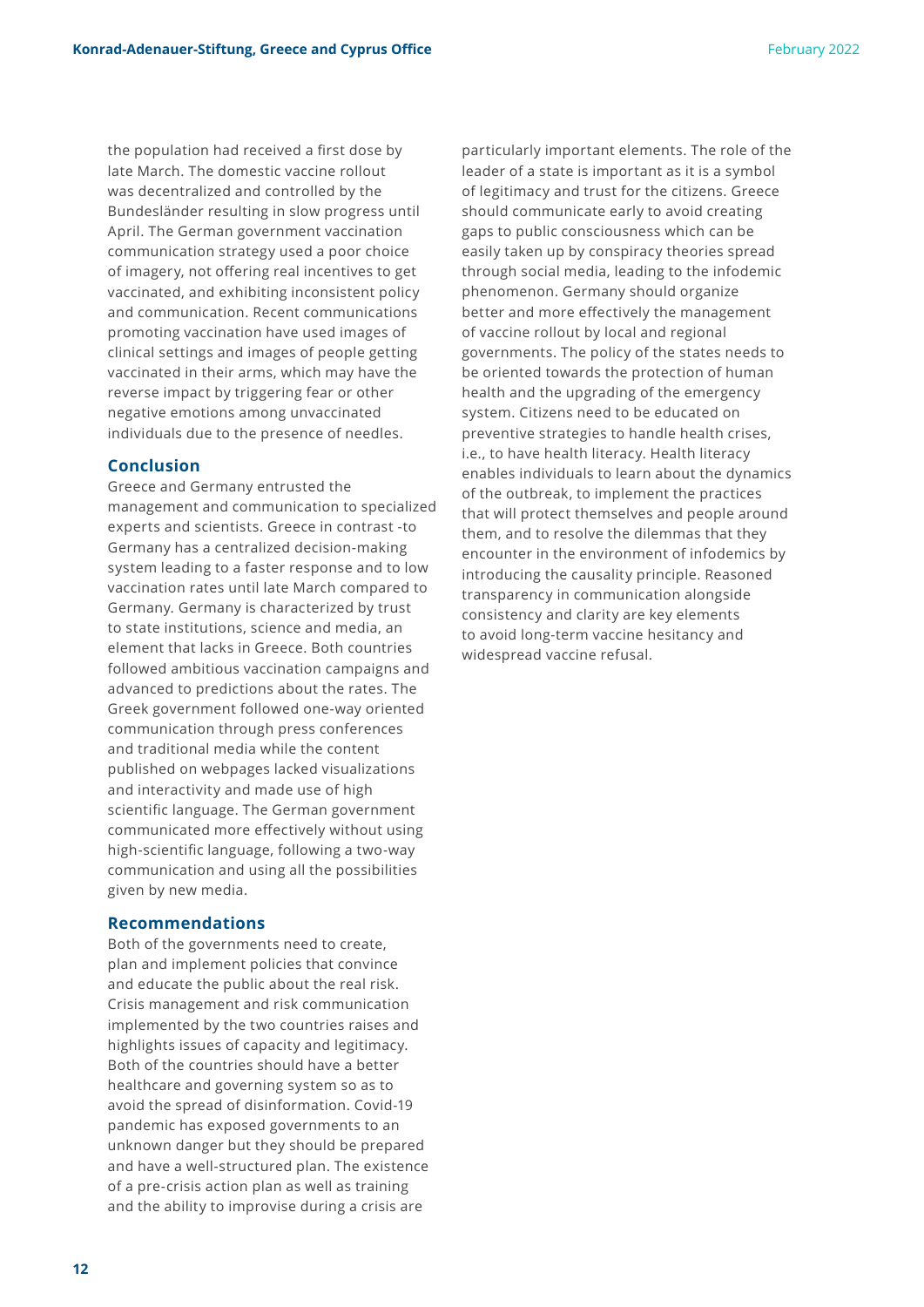the population had received a first dose by late March. The domestic vaccine rollout was decentralized and controlled by the Bundesländer resulting in slow progress until April. The German government vaccination communication strategy used a poor choice of imagery, not offering real incentives to get vaccinated, and exhibiting inconsistent policy and communication. Recent communications promoting vaccination have used images of clinical settings and images of people getting vaccinated in their arms, which may have the reverse impact by triggering fear or other negative emotions among unvaccinated individuals due to the presence of needles.

#### **Conclusion**

Greece and Germany entrusted the management and communication to specialized experts and scientists. Greece in contrast -to Germany has a centralized decision-making system leading to a faster response and to low vaccination rates until late March compared to Germany. Germany is characterized by trust to state institutions, science and media, an element that lacks in Greece. Both countries followed ambitious vaccination campaigns and advanced to predictions about the rates. The Greek government followed one-way oriented communication through press conferences and traditional media while the content published on webpages lacked visualizations and interactivity and made use of high scientific language. The German government communicated more effectively without using high-scientific language, following a two-way communication and using all the possibilities given by new media.

#### **Recommendations**

Both of the governments need to create, plan and implement policies that convince and educate the public about the real risk. Crisis management and risk communication implemented by the two countries raises and highlights issues of capacity and legitimacy. Both of the countries should have a better healthcare and governing system so as to avoid the spread of disinformation. Covid-19 pandemic has exposed governments to an unknown danger but they should be prepared and have a well-structured plan. The existence of a pre-crisis action plan as well as training and the ability to improvise during a crisis are

particularly important elements. The role of the leader of a state is important as it is a symbol of legitimacy and trust for the citizens. Greece should communicate early to avoid creating gaps to public consciousness which can be easily taken up by conspiracy theories spread through social media, leading to the infodemic phenomenon. Germany should organize better and more effectively the management of vaccine rollout by local and regional governments. The policy of the states needs to be oriented towards the protection of human health and the upgrading of the emergency system. Citizens need to be educated on preventive strategies to handle health crises, i.e., to have health literacy. Health literacy enables individuals to learn about the dynamics of the outbreak, to implement the practices that will protect themselves and people around them, and to resolve the dilemmas that they encounter in the environment of infodemics by introducing the causality principle. Reasoned transparency in communication alongside consistency and clarity are key elements to avoid long-term vaccine hesitancy and widespread vaccine refusal.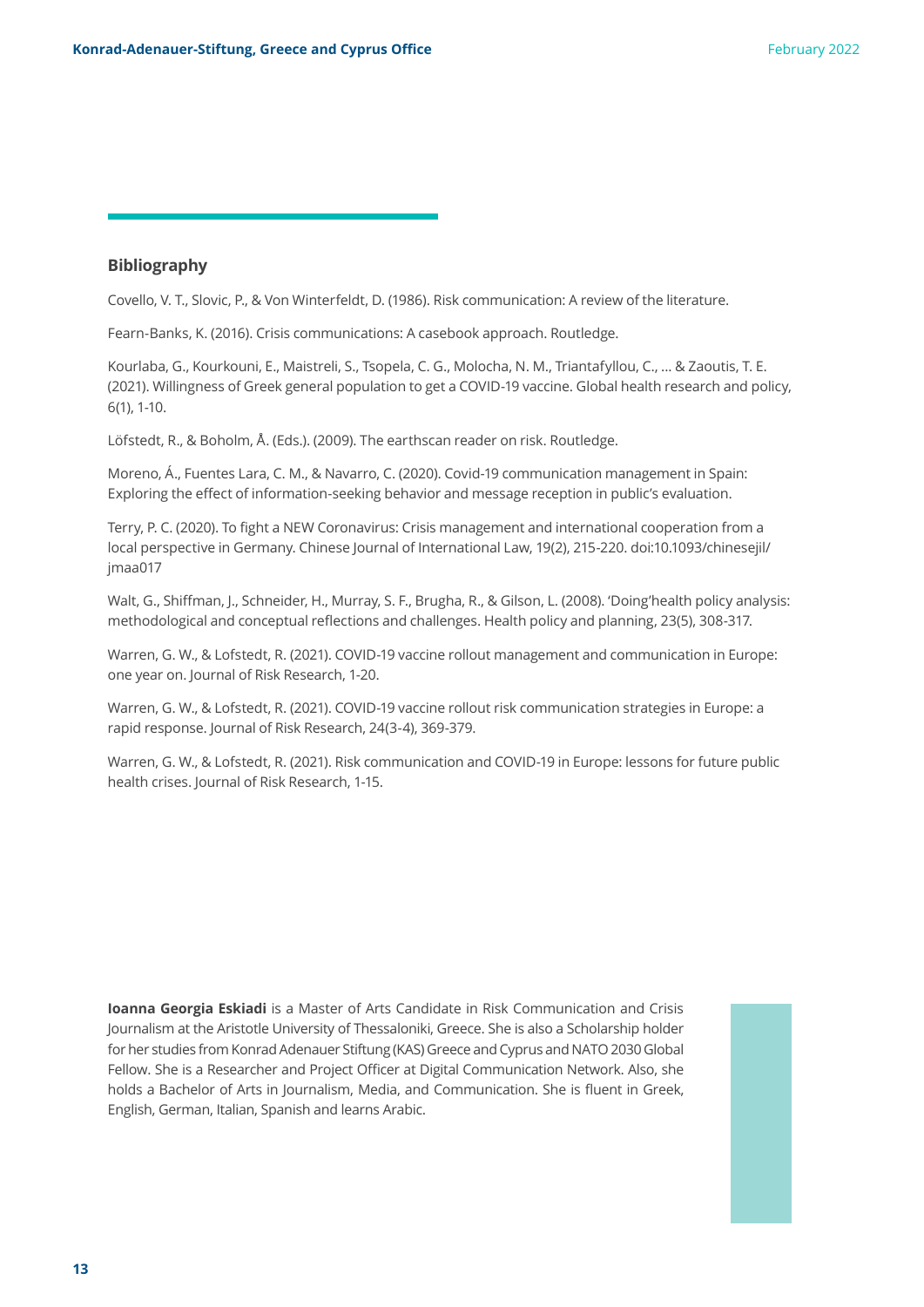#### **Bibliography**

Covello, V. T., Slovic, P., & Von Winterfeldt, D. (1986). Risk communication: A review of the literature.

Fearn-Banks, K. (2016). Crisis communications: A casebook approach. Routledge.

Kourlaba, G., Kourkouni, E., Maistreli, S., Tsopela, C. G., Molocha, N. M., Triantafyllou, C., ... & Zaoutis, T. E. (2021). Willingness of Greek general population to get a COVID-19 vaccine. Global health research and policy, 6(1), 1-10.

Löfstedt, R., & Boholm, Å. (Eds.). (2009). The earthscan reader on risk. Routledge.

Moreno, Á., Fuentes Lara, C. M., & Navarro, C. (2020). Covid-19 communication management in Spain: Exploring the effect of information-seeking behavior and message reception in public's evaluation.

Terry, P. C. (2020). To fight a NEW Coronavirus: Crisis management and international cooperation from a local perspective in Germany. Chinese Journal of International Law, 19(2), 215-220. doi:10.1093/chinesejil/ jmaa017

Walt, G., Shiffman, J., Schneider, H., Murray, S. F., Brugha, R., & Gilson, L. (2008). 'Doing'health policy analysis: methodological and conceptual reflections and challenges. Health policy and planning, 23(5), 308-317.

Warren, G. W., & Lofstedt, R. (2021). COVID-19 vaccine rollout management and communication in Europe: one year on. Journal of Risk Research, 1-20.

Warren, G. W., & Lofstedt, R. (2021). COVID-19 vaccine rollout risk communication strategies in Europe: a rapid response. Journal of Risk Research, 24(3-4), 369-379.

Warren, G. W., & Lofstedt, R. (2021). Risk communication and COVID-19 in Europe: lessons for future public health crises. Journal of Risk Research, 1-15.

**Ioanna Georgia Eskiadi** is a Master of Arts Candidate in Risk Communication and Crisis Journalism at the Aristotle University of Thessaloniki, Greece. She is also a Scholarship holder for her studies from Konrad Adenauer Stiftung (KAS) Greece and Cyprus and NATO 2030 Global Fellow. She is a Researcher and Project Officer at Digital Communication Network. Also, she holds a Bachelor of Arts in Journalism, Media, and Communication. She is fluent in Greek, English, German, Italian, Spanish and learns Arabic.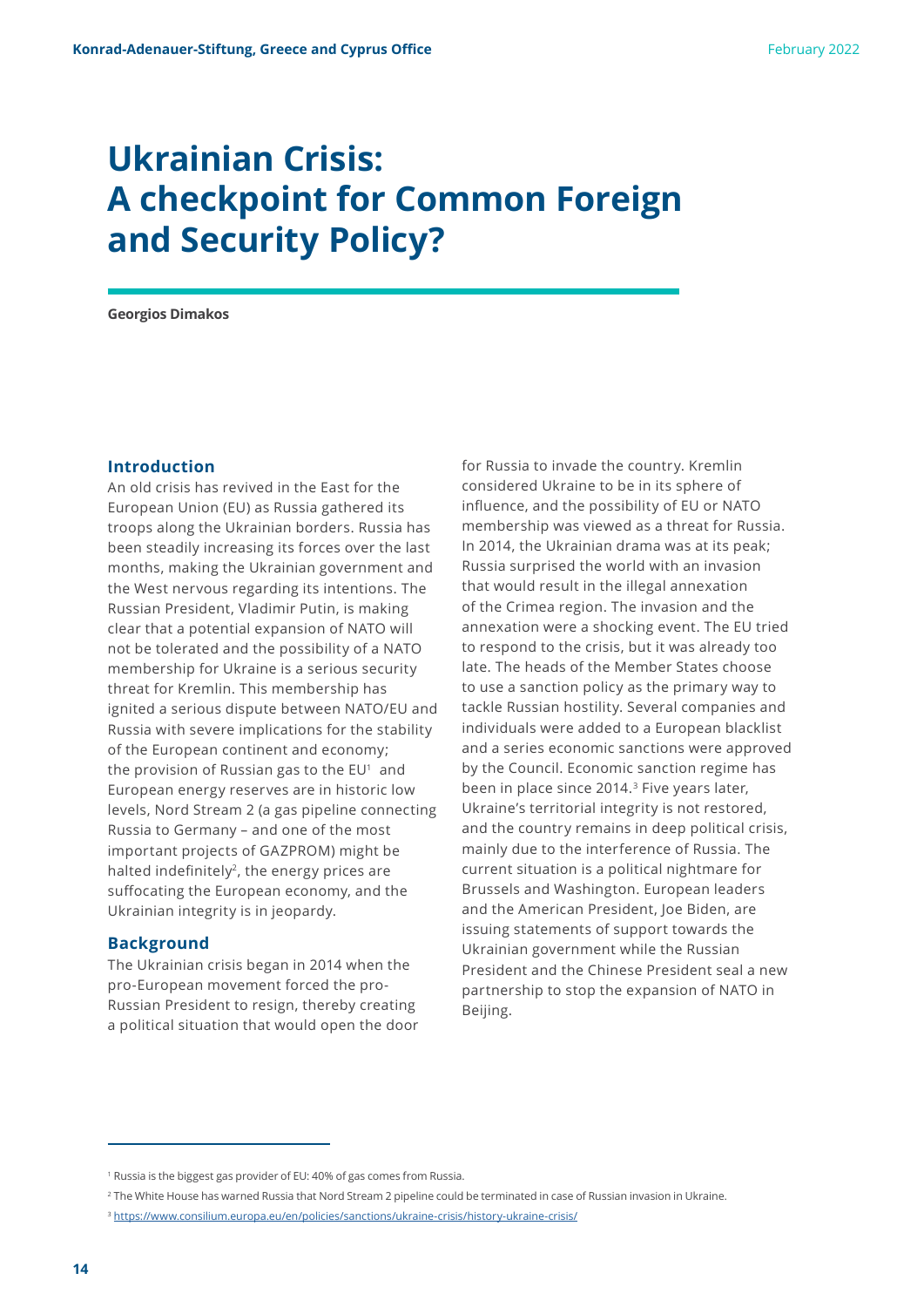## **Ukrainian Crisis: A checkpoint for Common Foreign and Security Policy?**

**Georgios Dimakos**

#### **Introduction**

An old crisis has revived in the East for the European Union (EU) as Russia gathered its troops along the Ukrainian borders. Russia has been steadily increasing its forces over the last months, making the Ukrainian government and the West nervous regarding its intentions. The Russian President, Vladimir Putin, is making clear that a potential expansion of NATO will not be tolerated and the possibility of a NATO membership for Ukraine is a serious security threat for Kremlin. This membership has ignited a serious dispute between NATO/EU and Russia with severe implications for the stability of the European continent and economy; the provision of Russian gas to the  $EU<sup>1</sup>$  and European energy reserves are in historic low levels, Nord Stream 2 (a gas pipeline connecting Russia to Germany – and one of the most important projects of GAZPROM) might be halted indefinitely<sup>2</sup>, the energy prices are suffocating the European economy, and the Ukrainian integrity is in jeopardy.

#### **Background**

The Ukrainian crisis began in 2014 when the pro-European movement forced the pro-Russian President to resign, thereby creating a political situation that would open the door

for Russia to invade the country. Kremlin considered Ukraine to be in its sphere of influence, and the possibility of EU or NATO membership was viewed as a threat for Russia. In 2014, the Ukrainian drama was at its peak; Russia surprised the world with an invasion that would result in the illegal annexation of the Crimea region. The invasion and the annexation were a shocking event. The EU tried to respond to the crisis, but it was already too late. The heads of the Member States choose to use a sanction policy as the primary way to tackle Russian hostility. Several companies and individuals were added to a European blacklist and a series economic sanctions were approved by the Council. Economic sanction regime has been in place since 2014.<sup>3</sup> Five years later, Ukraine's territorial integrity is not restored, and the country remains in deep political crisis, mainly due to the interference of Russia. The current situation is a political nightmare for Brussels and Washington. European leaders and the American President, Joe Biden, are issuing statements of support towards the Ukrainian government while the Russian President and the Chinese President seal a new partnership to stop the expansion of NATO in Beijing.

<sup>1</sup> Russia is the biggest gas provider of EU: 40% of gas comes from Russia.

<sup>2</sup> The White House has warned Russia that Nord Stream 2 pipeline could be terminated in case of Russian invasion in Ukraine.

<sup>&</sup>lt;sup>3</sup> <https://www.consilium.europa.eu/en/policies/sanctions/ukraine-crisis/history-ukraine-crisis/>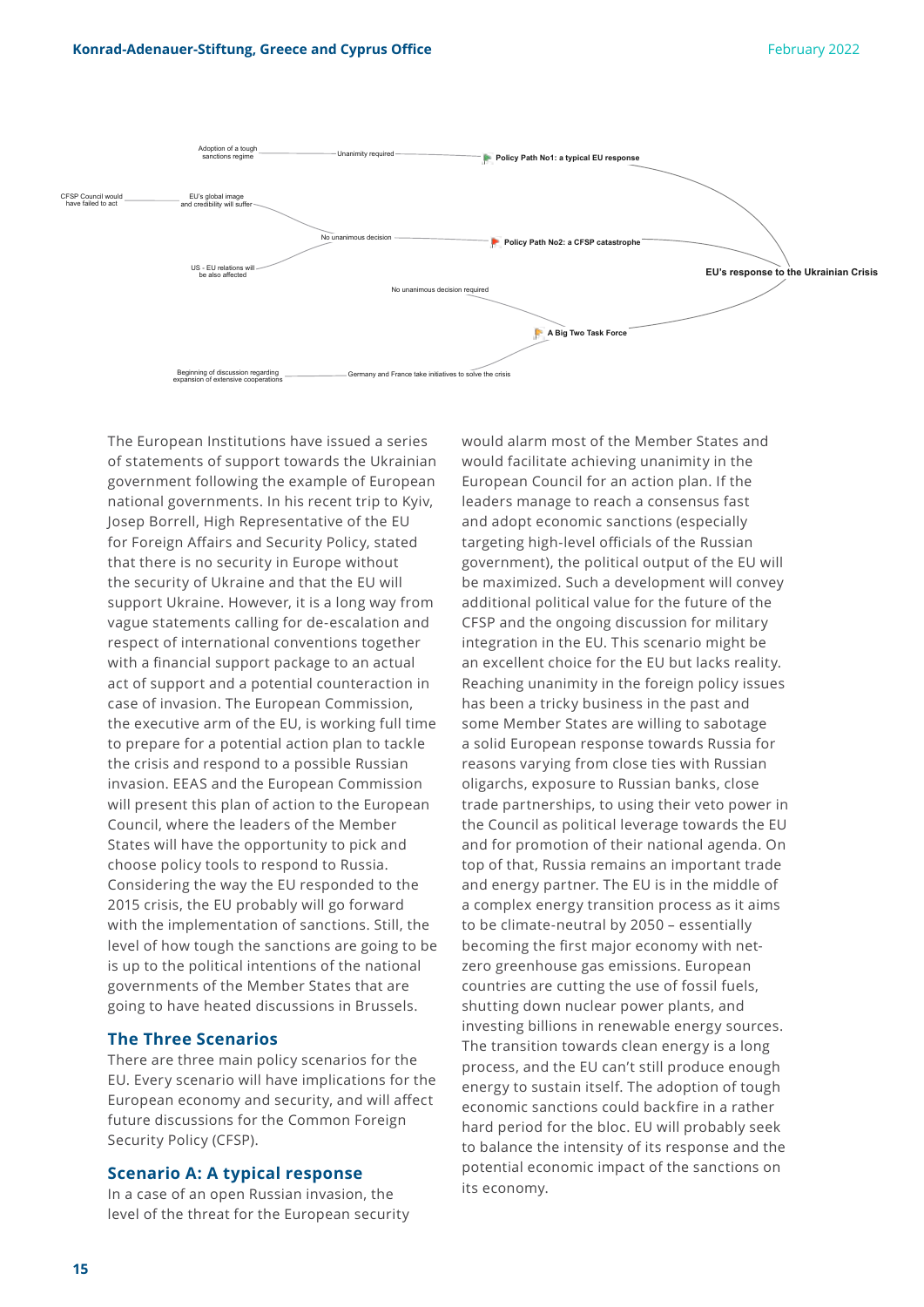

The European Institutions have issued a series of statements of support towards the Ukrainian government following the example of European national governments. In his recent trip to Kyiv, Josep Borrell, High Representative of the EU for Foreign Affairs and Security Policy, stated that there is no security in Europe without the security of Ukraine and that the EU will support Ukraine. However, it is a long way from vague statements calling for de-escalation and respect of international conventions together with a financial support package to an actual act of support and a potential counteraction in case of invasion. The European Commission, the executive arm of the EU, is working full time to prepare for a potential action plan to tackle the crisis and respond to a possible Russian invasion. EEAS and the European Commission will present this plan of action to the European Council, where the leaders of the Member States will have the opportunity to pick and choose policy tools to respond to Russia. Considering the way the EU responded to the 2015 crisis, the EU probably will go forward with the implementation of sanctions. Still, the level of how tough the sanctions are going to be is up to the political intentions of the national governments of the Member States that are going to have heated discussions in Brussels.

#### **The Three Scenarios**

There are three main policy scenarios for the EU. Every scenario will have implications for the European economy and security, and will affect future discussions for the Common Foreign Security Policy (CFSP).

#### **Scenario A: A typical response**

In a case of an open Russian invasion, the level of the threat for the European security would alarm most of the Member States and would facilitate achieving unanimity in the European Council for an action plan. If the leaders manage to reach a consensus fast and adopt economic sanctions (especially targeting high-level officials of the Russian government), the political output of the EU will be maximized. Such a development will convey additional political value for the future of the CFSP and the ongoing discussion for military integration in the EU. This scenario might be an excellent choice for the EU but lacks reality. Reaching unanimity in the foreign policy issues has been a tricky business in the past and some Member States are willing to sabotage a solid European response towards Russia for reasons varying from close ties with Russian oligarchs, exposure to Russian banks, close trade partnerships, to using their veto power in the Council as political leverage towards the EU and for promotion of their national agenda. On top of that, Russia remains an important trade and energy partner. The EU is in the middle of a complex energy transition process as it aims to be climate-neutral by 2050 – essentially becoming the first major economy with netzero greenhouse gas emissions. European countries are cutting the use of fossil fuels, shutting down nuclear power plants, and investing billions in renewable energy sources. The transition towards clean energy is a long process, and the EU can't still produce enough energy to sustain itself. The adoption of tough economic sanctions could backfire in a rather hard period for the bloc. EU will probably seek to balance the intensity of its response and the potential economic impact of the sanctions on its economy.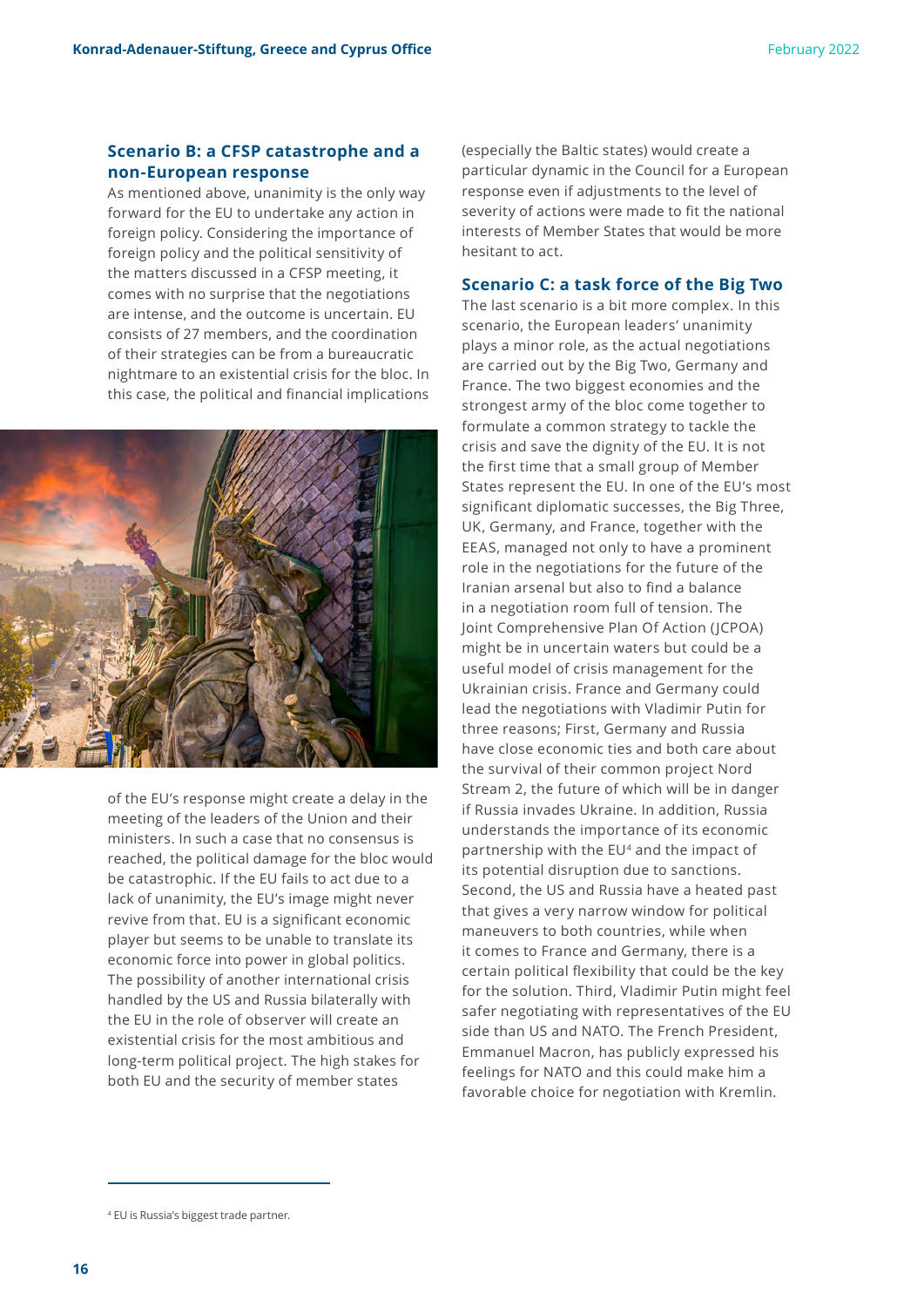#### **Scenario B: a CFSP catastrophe and a non-European response**

As mentioned above, unanimity is the only way forward for the EU to undertake any action in foreign policy. Considering the importance of foreign policy and the political sensitivity of the matters discussed in a CFSP meeting, it comes with no surprise that the negotiations are intense, and the outcome is uncertain. EU consists of 27 members, and the coordination of their strategies can be from a bureaucratic nightmare to an existential crisis for the bloc. In this case, the political and financial implications



of the EU's response might create a delay in the meeting of the leaders of the Union and their ministers. In such a case that no consensus is reached, the political damage for the bloc would be catastrophic. If the EU fails to act due to a lack of unanimity, the EU's image might never revive from that. EU is a significant economic player but seems to be unable to translate its economic force into power in global politics. The possibility of another international crisis handled by the US and Russia bilaterally with the EU in the role of observer will create an existential crisis for the most ambitious and long-term political project. The high stakes for both EU and the security of member states

(especially the Baltic states) would create a particular dynamic in the Council for a European response even if adjustments to the level of severity of actions were made to fit the national interests of Member States that would be more hesitant to act.

#### **Scenario C: a task force of the Big Two**

The last scenario is a bit more complex. In this scenario, the European leaders' unanimity plays a minor role, as the actual negotiations are carried out by the Big Two, Germany and France. The two biggest economies and the strongest army of the bloc come together to formulate a common strategy to tackle the crisis and save the dignity of the EU. It is not the first time that a small group of Member States represent the EU. In one of the EU's most significant diplomatic successes, the Big Three, UK, Germany, and France, together with the EEAS, managed not only to have a prominent role in the negotiations for the future of the Iranian arsenal but also to find a balance in a negotiation room full of tension. The Joint Comprehensive Plan Of Action (JCPOA) might be in uncertain waters but could be a useful model of crisis management for the Ukrainian crisis. France and Germany could lead the negotiations with Vladimir Putin for three reasons; First, Germany and Russia have close economic ties and both care about the survival of their common project Nord Stream 2, the future of which will be in danger if Russia invades Ukraine. In addition, Russia understands the importance of its economic partnership with the EU<sup>4</sup> and the impact of its potential disruption due to sanctions. Second, the US and Russia have a heated past that gives a very narrow window for political maneuvers to both countries, while when it comes to France and Germany, there is a certain political flexibility that could be the key for the solution. Third, Vladimir Putin might feel safer negotiating with representatives of the EU side than US and NATO. The French President, Emmanuel Macron, has publicly expressed his feelings for NATO and this could make him a favorable choice for negotiation with Kremlin.

<sup>4</sup> EU is Russia's biggest trade partner.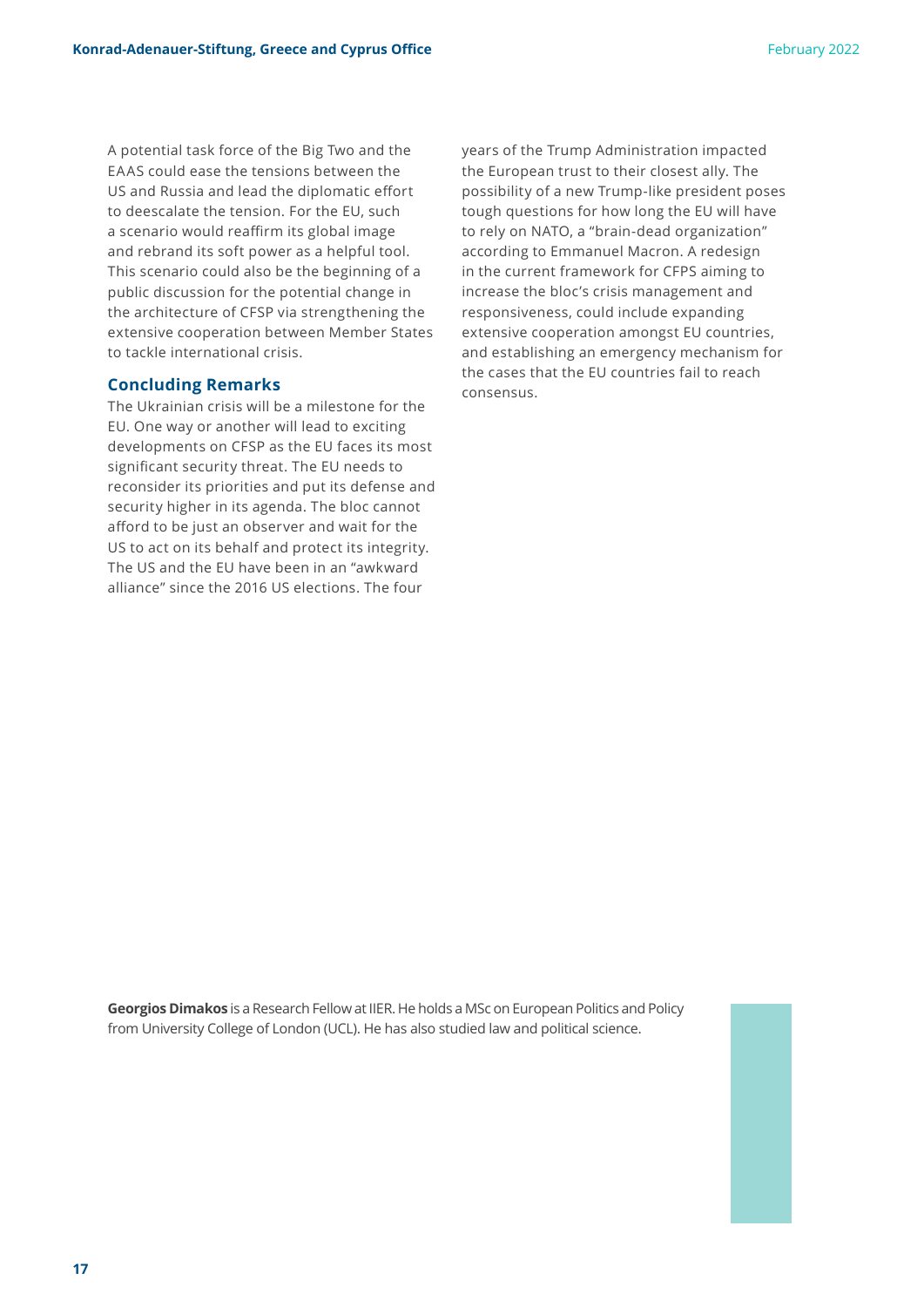A potential task force of the Big Two and the EAAS could ease the tensions between the US and Russia and lead the diplomatic effort to deescalate the tension. For the EU, such a scenario would reaffirm its global image and rebrand its soft power as a helpful tool. This scenario could also be the beginning of a public discussion for the potential change in the architecture of CFSP via strengthening the extensive cooperation between Member States to tackle international crisis.

#### **Concluding Remarks**

The Ukrainian crisis will be a milestone for the EU. One way or another will lead to exciting developments on CFSP as the EU faces its most significant security threat. The EU needs to reconsider its priorities and put its defense and security higher in its agenda. The bloc cannot afford to be just an observer and wait for the US to act on its behalf and protect its integrity. The US and the EU have been in an "awkward alliance" since the 2016 US elections. The four

years of the Trump Administration impacted the European trust to their closest ally. The possibility of a new Trump-like president poses tough questions for how long the EU will have to rely on NATO, a "brain-dead organization" according to Emmanuel Macron. A redesign in the current framework for CFPS aiming to increase the bloc's crisis management and responsiveness, could include expanding extensive cooperation amongst EU countries, and establishing an emergency mechanism for the cases that the EU countries fail to reach consensus.

**Georgios Dimakos** is a Research Fellow at IIER. He holds a MSc on European Politics and Policy from University College of London (UCL). He has also studied law and political science.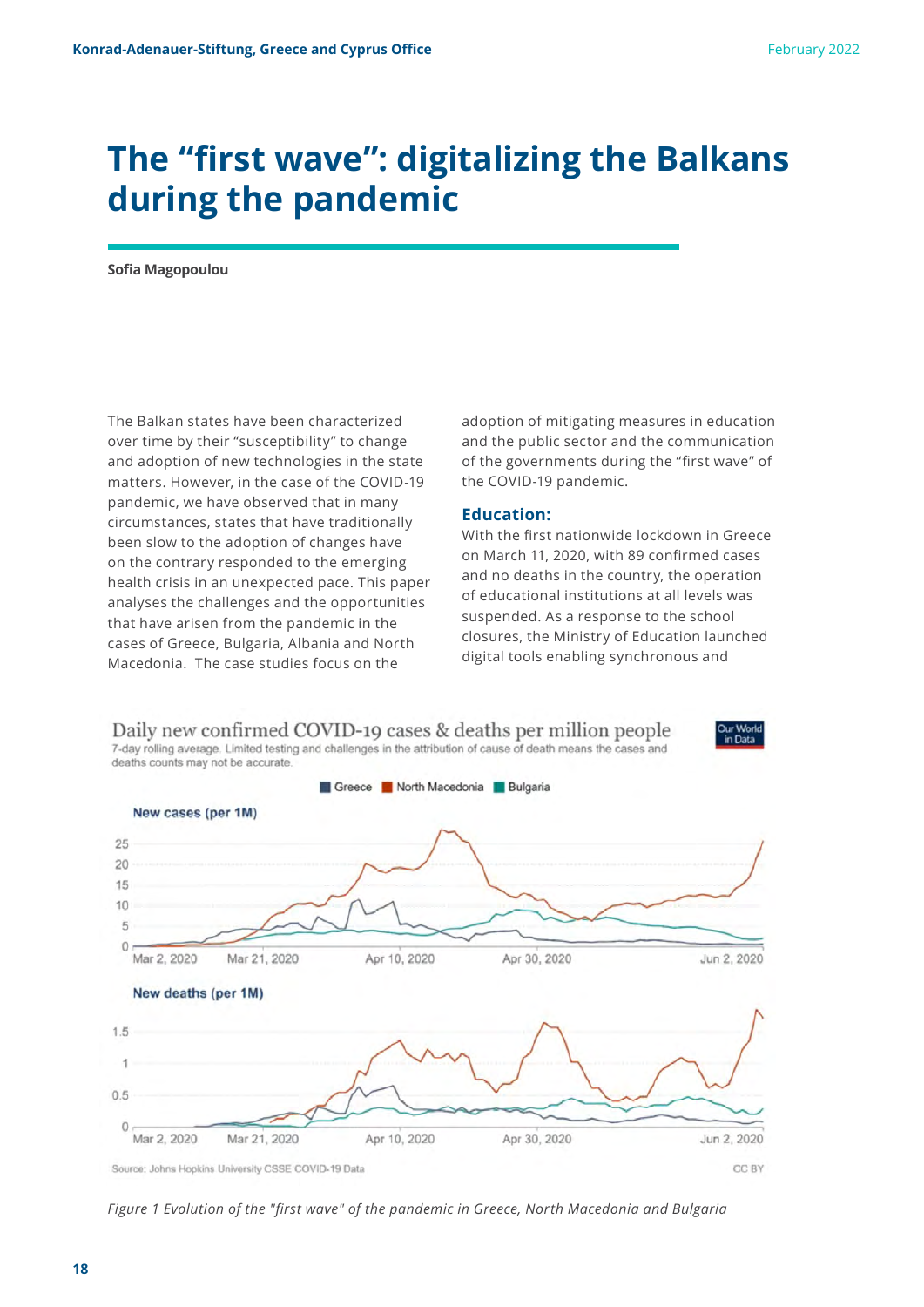### **The "first wave": digitalizing the Balkans during the pandemic**

**Sofia Magopoulou**

The Balkan states have been characterized over time by their "susceptibility" to change and adoption of new technologies in the state matters. However, in the case of the COVID-19 pandemic, we have observed that in many circumstances, states that have traditionally been slow to the adoption of changes have on the contrary responded to the emerging health crisis in an unexpected pace. This paper analyses the challenges and the opportunities that have arisen from the pandemic in the cases of Greece, Bulgaria, Albania and North Macedonia. The case studies focus on the

adoption of mitigating measures in education and the public sector and the communication of the governments during the "first wave" of the COVID-19 pandemic.

#### **Education:**

With the first nationwide lockdown in Greece on March 11, 2020, with 89 confirmed cases and no deaths in the country, the operation of educational institutions at all levels was suspended. As a response to the school closures, the Ministry of Education launched digital tools enabling synchronous and



*Figure 1 Evolution of the "first wave" of the pandemic in Greece, North Macedonia and Bulgaria*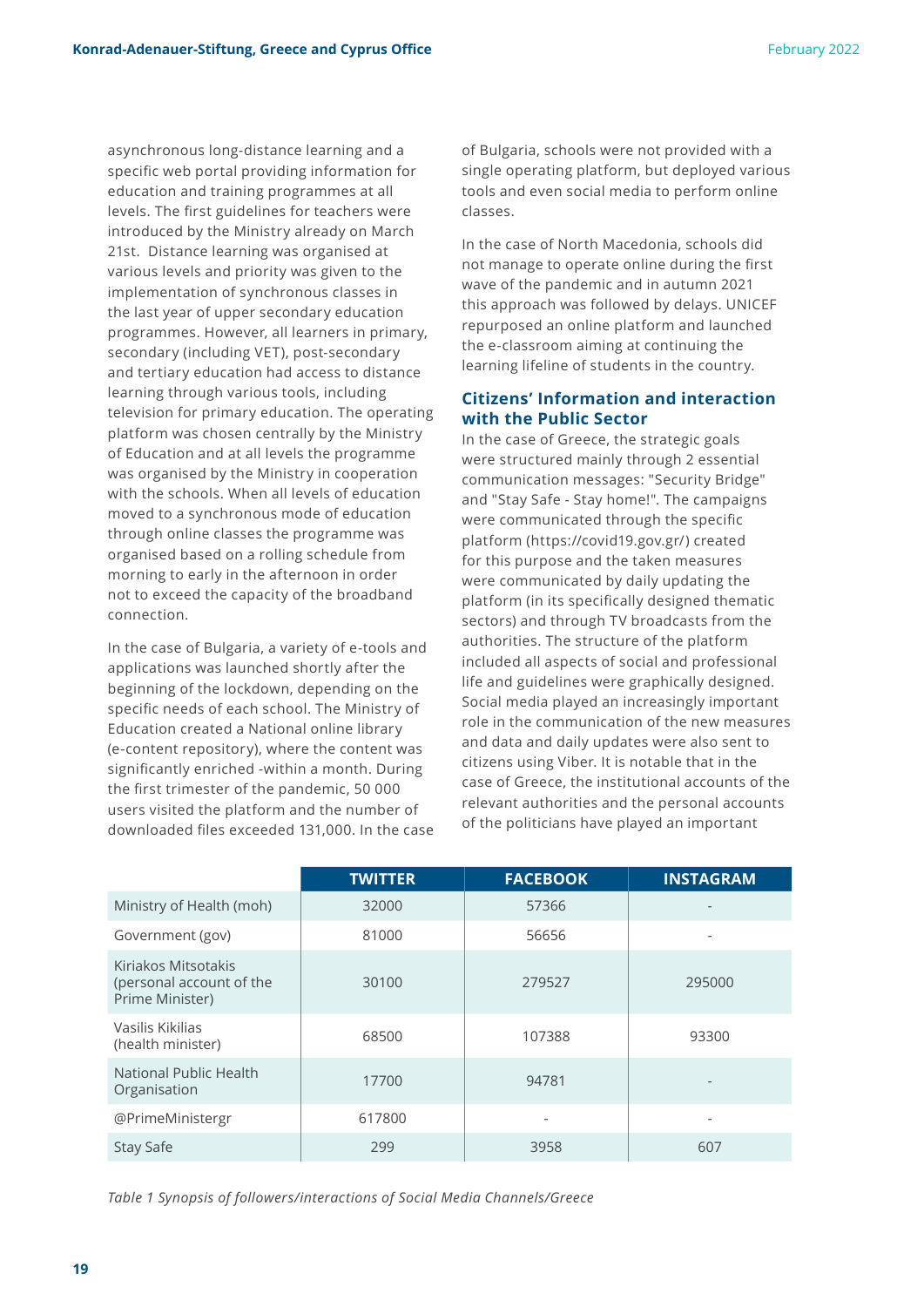asynchronous long-distance learning and a specific web portal providing information for education and training programmes at all levels. The first guidelines for teachers were introduced by the Ministry already on March 21st. Distance learning was organised at various levels and priority was given to the implementation of synchronous classes in the last year of upper secondary education programmes. However, all learners in primary, secondary (including VET), post-secondary and tertiary education had access to distance learning through various tools, including television for primary education. The operating platform was chosen centrally by the Ministry of Education and at all levels the programme was organised by the Ministry in cooperation with the schools. When all levels of education moved to a synchronous mode of education through online classes the programme was organised based on a rolling schedule from morning to early in the afternoon in order not to exceed the capacity of the broadband connection.

In the case of Bulgaria, a variety of e-tools and applications was launched shortly after the beginning of the lockdown, depending on the specific needs of each school. The Ministry of Education created a National online library (e-content repository), where the content was significantly enriched -within a month. During the first trimester of the pandemic, 50 000 users visited the platform and the number of downloaded files exceeded 131,000. In the case of Bulgaria, schools were not provided with a single operating platform, but deployed various tools and even social media to perform online classes.

In the case of North Macedonia, schools did not manage to operate online during the first wave of the pandemic and in autumn 2021 this approach was followed by delays. UNICEF repurposed an online platform and launched the e-classroom aiming at continuing the learning lifeline of students in the country.

#### **Citizens' Information and interaction with the Public Sector**

In the case of Greece, the strategic goals were structured mainly through 2 essential communication messages: "Security Bridge" and "Stay Safe - Stay home!". The campaigns were communicated through the specific platform (https://covid19.gov.gr/) created for this purpose and the taken measures were communicated by daily updating the platform (in its specifically designed thematic sectors) and through TV broadcasts from the authorities. The structure of the platform included all aspects of social and professional life and guidelines were graphically designed. Social media played an increasingly important role in the communication of the new measures and data and daily updates were also sent to citizens using Viber. It is notable that in the case of Greece, the institutional accounts of the relevant authorities and the personal accounts of the politicians have played an important

|                                                                    | <b>TWITTER</b> | <b>FACEBOOK</b> | <b>INSTAGRAM</b> |
|--------------------------------------------------------------------|----------------|-----------------|------------------|
| Ministry of Health (moh)                                           | 32000          | 57366           |                  |
| Government (gov)                                                   | 81000          | 56656           |                  |
| Kiriakos Mitsotakis<br>(personal account of the<br>Prime Minister) | 30100          | 279527          | 295000           |
| Vasilis Kikilias<br>(health minister)                              | 68500          | 107388          | 93300            |
| National Public Health<br>Organisation                             | 17700          | 94781           |                  |
| @PrimeMinistergr                                                   | 617800         |                 |                  |
| Stay Safe                                                          | 299            | 3958            | 607              |

*Table 1 Synopsis of followers/interactions of Social Media Channels/Greece*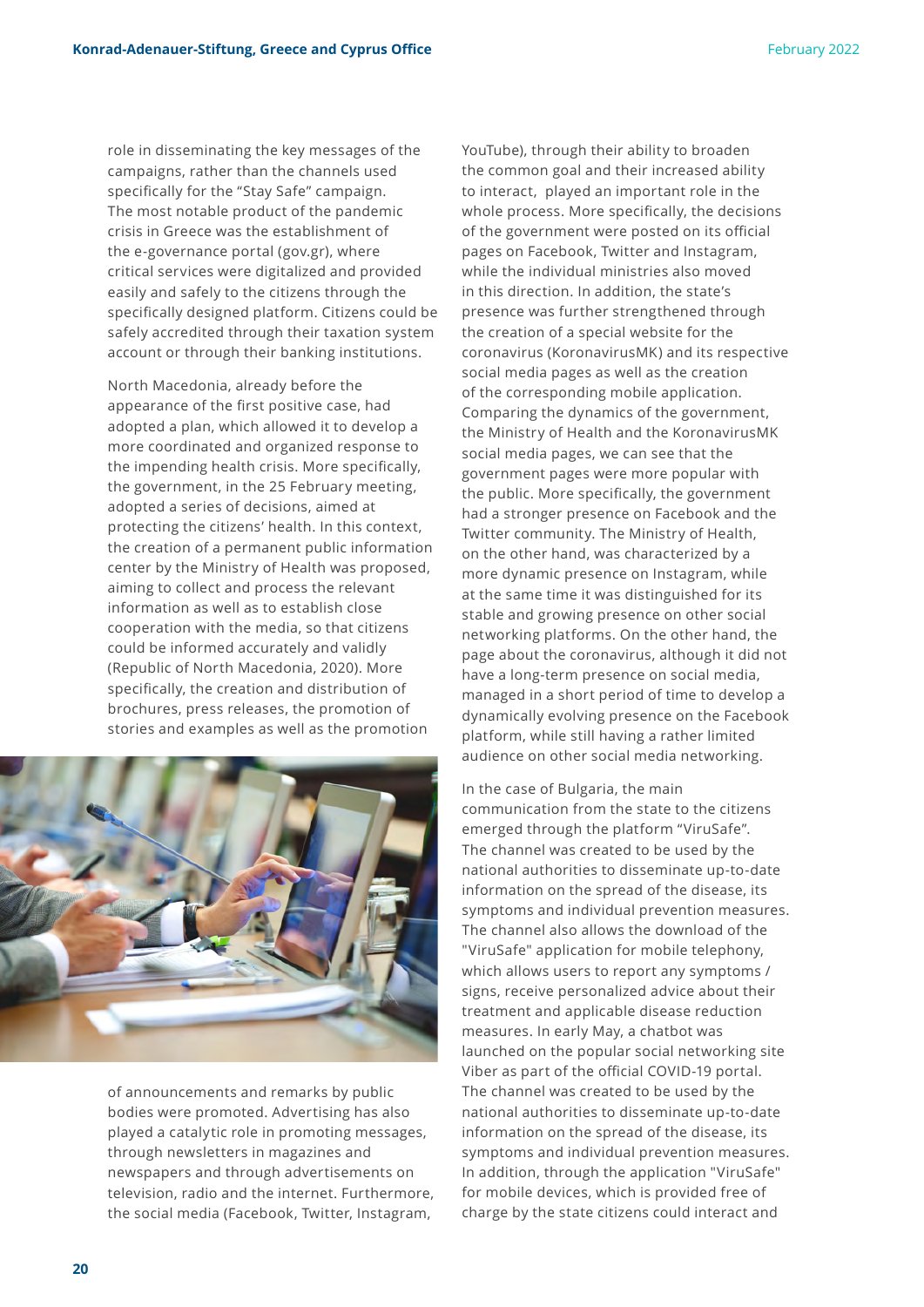role in disseminating the key messages of the campaigns, rather than the channels used specifically for the "Stay Safe" campaign. The most notable product of the pandemic crisis in Greece was the establishment of the e-governance portal (gov.gr), where critical services were digitalized and provided easily and safely to the citizens through the specifically designed platform. Citizens could be safely accredited through their taxation system account or through their banking institutions.

North Macedonia, already before the appearance of the first positive case, had adopted a plan, which allowed it to develop a more coordinated and organized response to the impending health crisis. More specifically, the government, in the 25 February meeting, adopted a series of decisions, aimed at protecting the citizens' health. In this context, the creation of a permanent public information center by the Ministry of Health was proposed, aiming to collect and process the relevant information as well as to establish close cooperation with the media, so that citizens could be informed accurately and validly (Republic of North Macedonia, 2020). More specifically, the creation and distribution of brochures, press releases, the promotion of stories and examples as well as the promotion



of announcements and remarks by public bodies were promoted. Advertising has also played a catalytic role in promoting messages, through newsletters in magazines and newspapers and through advertisements on television, radio and the internet. Furthermore, the social media (Facebook, Twitter, Instagram,

YouTube), through their ability to broaden the common goal and their increased ability to interact, played an important role in the whole process. More specifically, the decisions of the government were posted on its official pages on Facebook, Twitter and Instagram, while the individual ministries also moved in this direction. In addition, the state's presence was further strengthened through the creation of a special website for the coronavirus (KoronavirusMK) and its respective social media pages as well as the creation of the corresponding mobile application. Comparing the dynamics of the government, the Ministry of Health and the KoronavirusMK social media pages, we can see that the government pages were more popular with the public. More specifically, the government had a stronger presence on Facebook and the Twitter community. The Ministry of Health, on the other hand, was characterized by a more dynamic presence on Instagram, while at the same time it was distinguished for its stable and growing presence on other social networking platforms. On the other hand, the page about the coronavirus, although it did not have a long-term presence on social media, managed in a short period of time to develop a dynamically evolving presence on the Facebook platform, while still having a rather limited audience on other social media networking.

In the case of Bulgaria, the main communication from the state to the citizens emerged through the platform "ViruSafe". The channel was created to be used by the national authorities to disseminate up-to-date information on the spread of the disease, its symptoms and individual prevention measures. The channel also allows the download of the "ViruSafe" application for mobile telephony, which allows users to report any symptoms / signs, receive personalized advice about their treatment and applicable disease reduction measures. In early May, a chatbot was launched on the popular social networking site Viber as part of the official COVID-19 portal. The channel was created to be used by the national authorities to disseminate up-to-date information on the spread of the disease, its symptoms and individual prevention measures. In addition, through the application "ViruSafe" for mobile devices, which is provided free of charge by the state citizens could interact and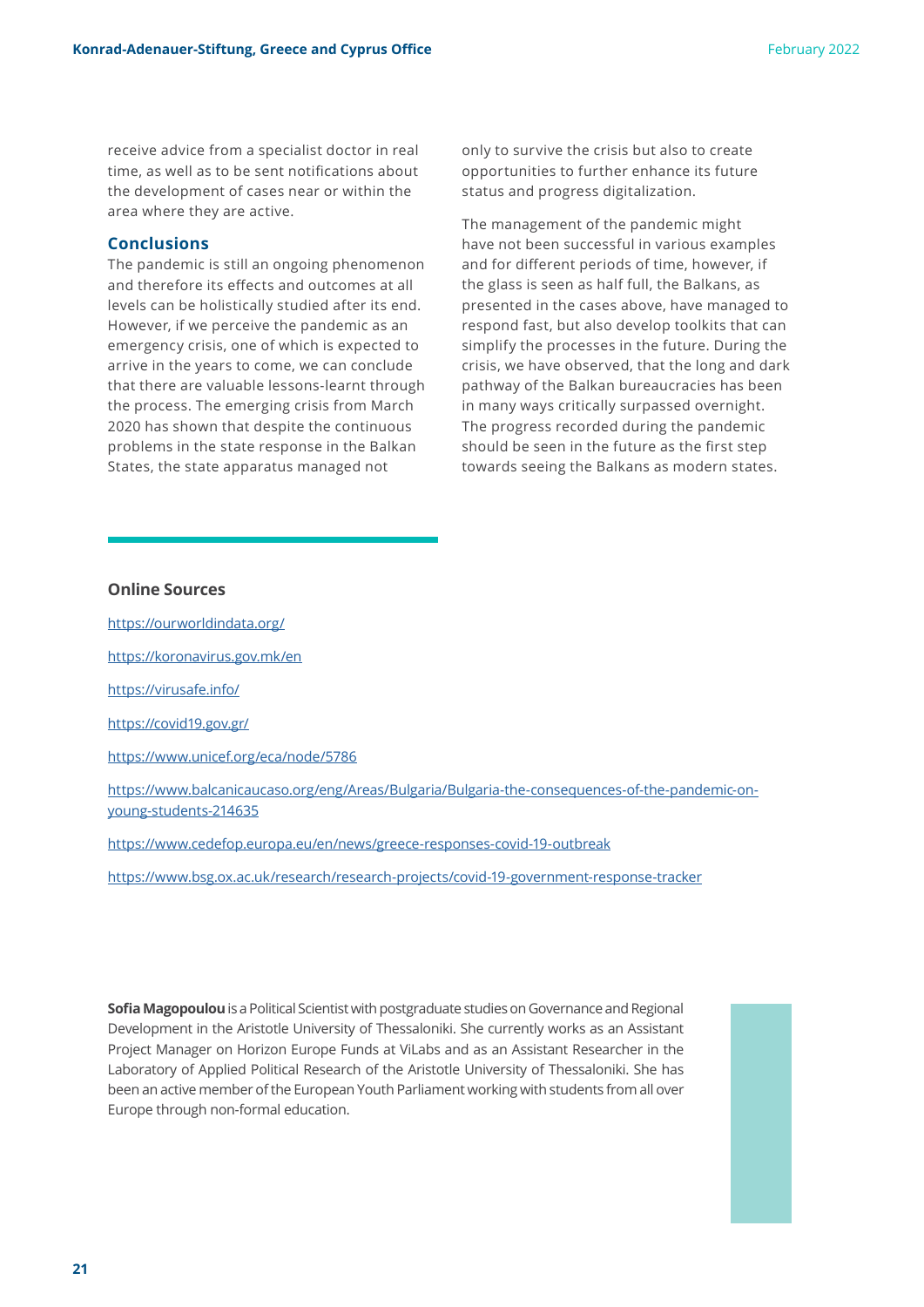receive advice from a specialist doctor in real time, as well as to be sent notifications about the development of cases near or within the area where they are active.

#### **Conclusions**

The pandemic is still an ongoing phenomenon and therefore its effects and outcomes at all levels can be holistically studied after its end. However, if we perceive the pandemic as an emergency crisis, one of which is expected to arrive in the years to come, we can conclude that there are valuable lessons-learnt through the process. The emerging crisis from March 2020 has shown that despite the continuous problems in the state response in the Balkan States, the state apparatus managed not

only to survive the crisis but also to create opportunities to further enhance its future status and progress digitalization.

The management of the pandemic might have not been successful in various examples and for different periods of time, however, if the glass is seen as half full, the Balkans, as presented in the cases above, have managed to respond fast, but also develop toolkits that can simplify the processes in the future. During the crisis, we have observed, that the long and dark pathway of the Balkan bureaucracies has been in many ways critically surpassed overnight. The progress recorded during the pandemic should be seen in the future as the first step towards seeing the Balkans as modern states.

#### **Online Sources**

[https://ourworldindata.org/](https://ourworldindata.org/
)

[https://koronavirus.gov.mk/en](https://koronavirus.gov.mk/en
)

[https://virusafe.info/](https://virusafe.info/
)

[https://covid19.gov.gr/](https://covid19.gov.gr/
)

[https://www.unicef.org/eca/node/5786](https://www.unicef.org/eca/node/5786
)

[https://www.balcanicaucaso.org/eng/Areas/Bulgaria/Bulgaria-the-consequences-of-the-pandemic-on](https://www.balcanicaucaso.org/eng/Areas/Bulgaria/Bulgaria-the-consequences-of-the-pandemic-on-young-students-214635)[young-students-214635](https://www.balcanicaucaso.org/eng/Areas/Bulgaria/Bulgaria-the-consequences-of-the-pandemic-on-young-students-214635)

[https://www.cedefop.europa.eu/en/news/greece-responses-covid-19-outbreak](https://www.cedefop.europa.eu/en/news/greece-responses-covid-19-outbreak
)

<https://www.bsg.ox.ac.uk/research/research-projects/covid-19-government-response-tracker>

**Sofia Magopoulou** is a Political Scientist with postgraduate studies on Governance and Regional Development in the Aristotle University of Thessaloniki. She currently works as an Assistant Project Manager on Horizon Europe Funds at ViLabs and as an Assistant Researcher in the Laboratory of Applied Political Research of the Aristotle University of Thessaloniki. She has been an active member of the European Youth Parliament working with students from all over Europe through non-formal education.